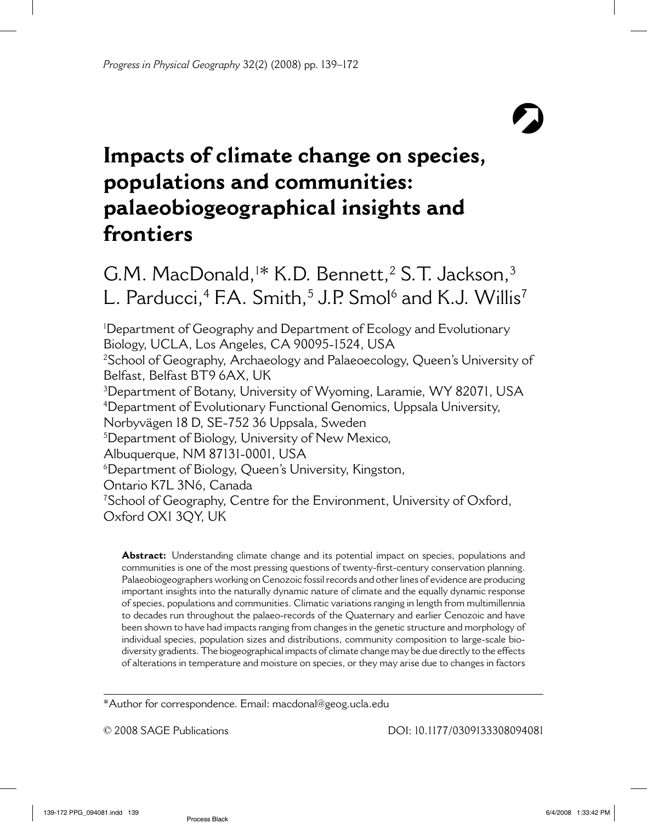# $\Omega$

# **Impacts of climate change on species, populations and communities: palaeobiogeographical insights and frontiers**

G.M. MacDonald,<sup>1\*</sup> K.D. Bennett,<sup>2</sup> S.T. Jackson,<sup>3</sup> L. Parducci,<sup>4</sup> F.A. Smith,<sup>5</sup> J.P. Smol<sup>6</sup> and K.J. Willis<sup>7</sup>

1 Department of Geography and Department of Ecology and Evolutionary Biology, UCLA, Los Angeles, CA 90095-1524, USA 2 School of Geography, Archaeology and Palaeoecology, Queen's University of Belfast, Belfast BT9 6AX, UK  $^3$ Department of Botany, University of Wyoming, Laramie, WY 82071, USA 4 Department of Evolutionary Functional Genomics, Uppsala University, Norbyvägen 18 D, SE-752 36 Uppsala, Sweden 5 Department of Biology, University of New Mexico, Albuquerque, NM 87131-0001, USA 6 Department of Biology, Queen's University, Kingston, Ontario K7L 3N6, Canada 7 School of Geography, Centre for the Environment, University of Oxford, Oxford OX1 3QY, UK

**Abstract:** Understanding climate change and its potential impact on species, populations and communities is one of the most pressing questions of twenty-first-century conservation planning. Palaeobiogeographers working on Cenozoic fossil records and other lines of evidence are producing important insights into the naturally dynamic nature of climate and the equally dynamic response of species, populations and communities. Climatic variations ranging in length from multimillennia to decades run throughout the palaeo-records of the Quaternary and earlier Cenozoic and have been shown to have had impacts ranging from changes in the genetic structure and morphology of individual species, population sizes and distributions, community composition to large-scale biodiversity gradients. The biogeographical impacts of climate change may be due directly to the effects of alterations in temperature and moisture on species, or they may arise due to changes in factors

\*Author for correspondence. Email: macdonal@geog.ucla.edu

© 2008 SAGE Publications DOI: 10.1177/0309133308094081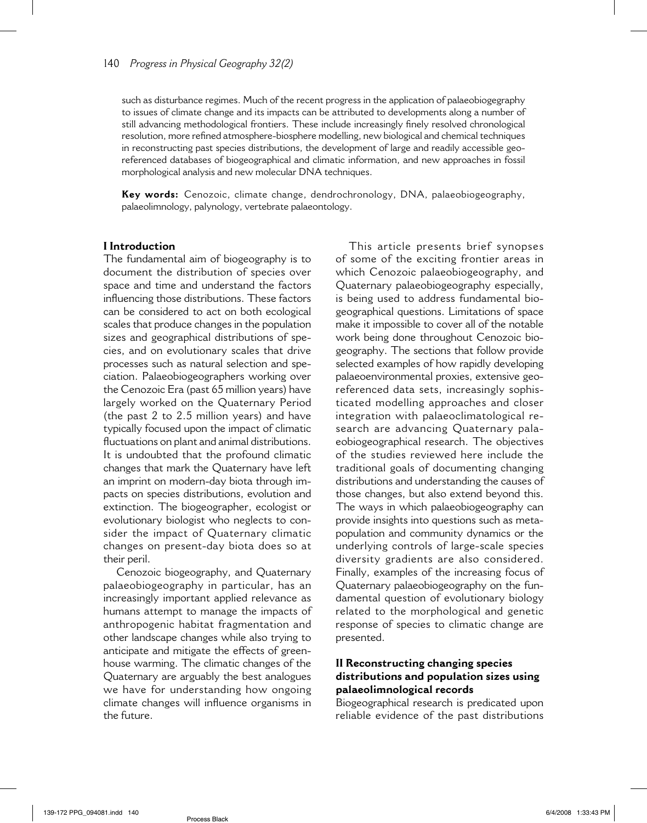such as disturbance regimes. Much of the recent progress in the application of palaeobiogegraphy to issues of climate change and its impacts can be attributed to developments along a number of still advancing methodological frontiers. These include increasingly finely resolved chronological resolution, more refined atmosphere-biosphere modelling, new biological and chemical techniques in reconstructing past species distributions, the development of large and readily accessible georeferenced databases of biogeographical and climatic information, and new approaches in fossil morphological analysis and new molecular DNA techniques.

**Key words:** Cenozoic, climate change, dendrochronology, DNA, palaeobiogeography, palaeolimnology, palynology, vertebrate palaeontology.

#### **I Introduction**

The fundamental aim of biogeography is to document the distribution of species over space and time and understand the factors influencing those distributions. These factors can be considered to act on both ecological scales that produce changes in the population sizes and geographical distributions of species, and on evolutionary scales that drive processes such as natural selection and speciation. Palaeobiogeographers working over the Cenozoic Era (past 65 million years) have largely worked on the Quaternary Period (the past 2 to 2.5 million years) and have typically focused upon the impact of climatic fluctuations on plant and animal distributions. It is undoubted that the profound climatic changes that mark the Quaternary have left an imprint on modern-day biota through impacts on species distributions, evolution and extinction. The biogeographer, ecologist or evolutionary biologist who neglects to consider the impact of Quaternary climatic changes on present-day biota does so at their peril.

Cenozoic biogeography, and Quaternary palaeobiogeography in particular, has an increasingly important applied relevance as humans attempt to manage the impacts of anthropogenic habitat fragmentation and other landscape changes while also trying to anticipate and mitigate the effects of greenhouse warming. The climatic changes of the Quaternary are arguably the best analogues we have for understanding how ongoing climate changes will influence organisms in the future.

This article presents brief synopses of some of the exciting frontier areas in which Cenozoic palaeobiogeography, and Quaternary palaeobiogeography especially, is being used to address fundamental biogeographical questions. Limitations of space make it impossible to cover all of the notable work being done throughout Cenozoic biogeography. The sections that follow provide selected examples of how rapidly developing palaeoenvironmental proxies, extensive georeferenced data sets, increasingly sophisticated modelling approaches and closer integration with palaeoclimatological research are advancing Quaternary palaeobiogeographical research. The objectives of the studies reviewed here include the traditional goals of documenting changing distributions and understanding the causes of those changes, but also extend beyond this. The ways in which palaeobiogeography can provide insights into questions such as metapopulation and community dynamics or the underlying controls of large-scale species diversity gradients are also considered. Finally, examples of the increasing focus of Quaternary palaeobiogeography on the fundamental question of evolutionary biology related to the morphological and genetic response of species to climatic change are presented.

#### **II Reconstructing changing species distributions and population sizes using palaeolimnological records**

Biogeographical research is predicated upon reliable evidence of the past distributions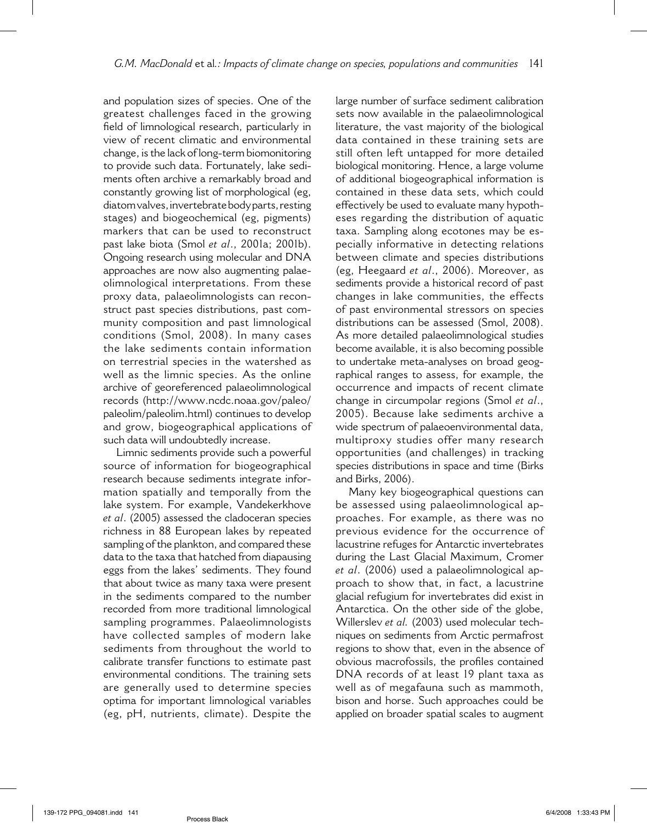and population sizes of species. One of the greatest challenges faced in the growing field of limnological research, particularly in view of recent climatic and environmental change, is the lack of long-term biomonitoring to provide such data. Fortunately, lake sediments often archive a remarkably broad and constantly growing list of morphological (eg, diatom valves, invertebrate body parts, resting stages) and biogeochemical (eg, pigments) markers that can be used to reconstruct past lake biota (Smol *et al*., 2001a; 2001b). Ongoing research using molecular and DNA approaches are now also augmenting palaeolimnological interpretations. From these proxy data, palaeolimnologists can reconstruct past species distributions, past community composition and past limnological conditions (Smol, 2008). In many cases the lake sediments contain information on terrestrial species in the watershed as well as the limnic species. As the online archive of georeferenced palaeolimnological records (http://www.ncdc.noaa.gov/paleo/ paleolim/paleolim.html) continues to develop and grow, biogeographical applications of such data will undoubtedly increase.

Limnic sediments provide such a powerful source of information for biogeographical research because sediments integrate information spatially and temporally from the lake system. For example, Vandekerkhove *et al*. (2005) assessed the cladoceran species richness in 88 European lakes by repeated sampling of the plankton, and compared these data to the taxa that hatched from diapausing eggs from the lakes' sediments. They found that about twice as many taxa were present in the sediments compared to the number recorded from more traditional limnological sampling programmes. Palaeolimnologists have collected samples of modern lake sediments from throughout the world to calibrate transfer functions to estimate past environmental conditions. The training sets are generally used to determine species optima for important limnological variables (eg, pH, nutrients, climate). Despite the large number of surface sediment calibration sets now available in the palaeolimnological literature, the vast majority of the biological data contained in these training sets are still often left untapped for more detailed biological monitoring. Hence, a large volume of additional biogeographical information is contained in these data sets, which could effectively be used to evaluate many hypotheses regarding the distribution of aquatic taxa. Sampling along ecotones may be especially informative in detecting relations between climate and species distributions (eg, Heegaard *et al*., 2006). Moreover, as sediments provide a historical record of past changes in lake communities, the effects of past environmental stressors on species distributions can be assessed (Smol, 2008). As more detailed palaeolimnological studies become available, it is also becoming possible to undertake meta-analyses on broad geographical ranges to assess, for example, the occurrence and impacts of recent climate change in circumpolar regions (Smol *et al*., 2005). Because lake sediments archive a wide spectrum of palaeoenvironmental data, multiproxy studies offer many research opportunities (and challenges) in tracking species distributions in space and time (Birks and Birks, 2006).

Many key biogeographical questions can be assessed using palaeolimnological approaches. For example, as there was no previous evidence for the occurrence of lacustrine refuges for Antarctic invertebrates during the Last Glacial Maximum, Cromer *et al*. (2006) used a palaeolimnological approach to show that, in fact, a lacustrine glacial refugium for invertebrates did exist in Antarctica. On the other side of the globe, Willerslev *et al.* (2003) used molecular techniques on sediments from Arctic permafrost regions to show that, even in the absence of obvious macrofossils, the profiles contained DNA records of at least 19 plant taxa as well as of megafauna such as mammoth, bison and horse. Such approaches could be applied on broader spatial scales to augment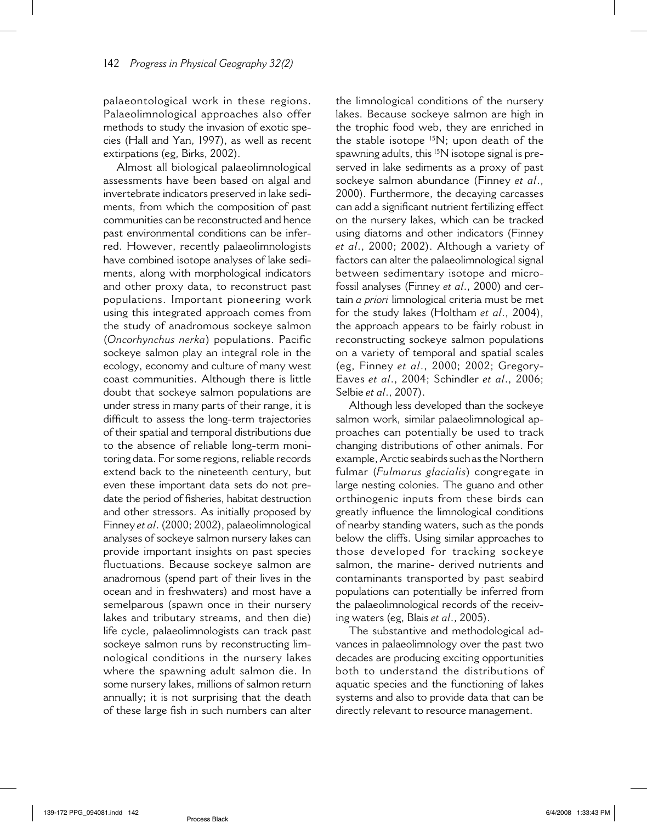palaeontological work in these regions. Palaeolimnological approaches also offer methods to study the invasion of exotic species (Hall and Yan, 1997), as well as recent extirpations (eg, Birks, 2002).

Almost all biological palaeolimnological assessments have been based on algal and invertebrate indicators preserved in lake sediments, from which the composition of past communities can be reconstructed and hence past environmental conditions can be inferred. However, recently palaeolimnologists have combined isotope analyses of lake sediments, along with morphological indicators and other proxy data, to reconstruct past populations. Important pioneering work using this integrated approach comes from the study of anadromous sockeye salmon (*Oncorhynchus nerka*) populations. Pacific sockeye salmon play an integral role in the ecology, economy and culture of many west coast communities. Although there is little doubt that sockeye salmon populations are under stress in many parts of their range, it is difficult to assess the long-term trajectories of their spatial and temporal distributions due to the absence of reliable long-term monitoring data. For some regions, reliable records extend back to the nineteenth century, but even these important data sets do not predate the period of fisheries, habitat destruction and other stressors. As initially proposed by Finney *et al*. (2000; 2002), palaeolimnological analyses of sockeye salmon nursery lakes can provide important insights on past species fluctuations. Because sockeye salmon are anadromous (spend part of their lives in the ocean and in freshwaters) and most have a semelparous (spawn once in their nursery lakes and tributary streams, and then die) life cycle, palaeolimnologists can track past sockeye salmon runs by reconstructing limnological conditions in the nursery lakes where the spawning adult salmon die. In some nursery lakes, millions of salmon return annually; it is not surprising that the death of these large fish in such numbers can alter

the limnological conditions of the nursery lakes. Because sockeye salmon are high in the trophic food web, they are enriched in the stable isotope  $15N$ ; upon death of the spawning adults, this <sup>15</sup>N isotope signal is preserved in lake sediments as a proxy of past sockeye salmon abundance (Finney *et al*., 2000). Furthermore, the decaying carcasses can add a significant nutrient fertilizing effect on the nursery lakes, which can be tracked using diatoms and other indicators (Finney *et al*., 2000; 2002). Although a variety of factors can alter the palaeolimnological signal between sedimentary isotope and microfossil analyses (Finney *et al*., 2000) and certain *a priori* limnological criteria must be met for the study lakes (Holtham *et al*., 2004), the approach appears to be fairly robust in reconstructing sockeye salmon populations on a variety of temporal and spatial scales (eg, Finney *et al*., 2000; 2002; Gregory-Eaves *et al*., 2004; Schindler *et al*., 2006; Selbie *et al*., 2007).

Although less developed than the sockeye salmon work, similar palaeolimnological approaches can potentially be used to track changing distributions of other animals. For example, Arctic seabirds such as the Northern fulmar (*Fulmarus glacialis*) congregate in large nesting colonies. The guano and other orthinogenic inputs from these birds can greatly influence the limnological conditions of nearby standing waters, such as the ponds below the cliffs. Using similar approaches to those developed for tracking sockeye salmon, the marine- derived nutrients and contaminants transported by past seabird populations can potentially be inferred from the palaeolimnological records of the receiving waters (eg, Blais *et al*., 2005).

The substantive and methodological advances in palaeolimnology over the past two decades are producing exciting opportunities both to understand the distributions of aquatic species and the functioning of lakes systems and also to provide data that can be directly relevant to resource management.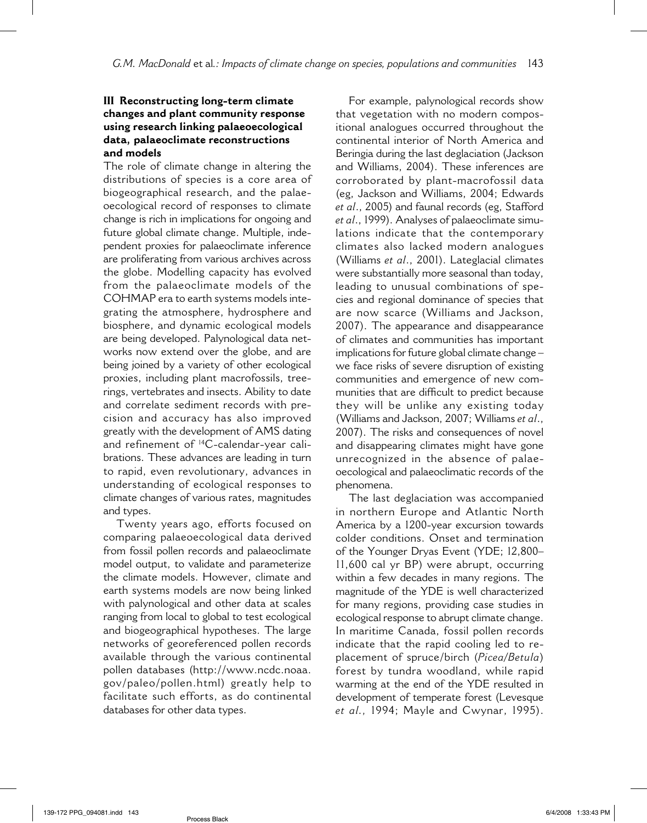### **III Reconstructing long-term climate changes and plant community response using research linking palaeoecological data, palaeoclimate reconstructions and models**

The role of climate change in altering the distributions of species is a core area of biogeographical research, and the palaeoecological record of responses to climate change is rich in implications for ongoing and future global climate change. Multiple, independent proxies for palaeoclimate inference are proliferating from various archives across the globe. Modelling capacity has evolved from the palaeoclimate models of the COHMAP era to earth systems models integrating the atmosphere, hydrosphere and biosphere, and dynamic ecological models are being developed. Palynological data networks now extend over the globe, and are being joined by a variety of other ecological proxies, including plant macrofossils, treerings, vertebrates and insects. Ability to date and correlate sediment records with precision and accuracy has also improved greatly with the development of AMS dating and refinement of 14C-calendar-year calibrations. These advances are leading in turn to rapid, even revolutionary, advances in understanding of ecological responses to climate changes of various rates, magnitudes and types.

Twenty years ago, efforts focused on comparing palaeoecological data derived from fossil pollen records and palaeoclimate model output, to validate and parameterize the climate models. However, climate and earth systems models are now being linked with palynological and other data at scales ranging from local to global to test ecological and biogeographical hypotheses. The large networks of georeferenced pollen records available through the various continental pollen databases (http://www.ncdc.noaa. gov/paleo/pollen.html) greatly help to facilitate such efforts, as do continental databases for other data types.

For example, palynological records show that vegetation with no modern compositional analogues occurred throughout the continental interior of North America and Beringia during the last deglaciation (Jackson and Williams, 2004). These inferences are corroborated by plant-macrofossil data (eg, Jackson and Williams, 2004; Edwards *et al*., 2005) and faunal records (eg, Stafford *et al*., 1999). Analyses of palaeoclimate simulations indicate that the contemporary climates also lacked modern analogues (Williams *et al*., 2001). Lateglacial climates were substantially more seasonal than today, leading to unusual combinations of species and regional dominance of species that are now scarce (Williams and Jackson, 2007). The appearance and disappearance of climates and communities has important implications for future global climate change – we face risks of severe disruption of existing communities and emergence of new communities that are difficult to predict because they will be unlike any existing today (Williams and Jackson, 2007; Williams *et al*., 2007). The risks and consequences of novel and disappearing climates might have gone unrecognized in the absence of palaeoecological and palaeoclimatic records of the phenomena.

The last deglaciation was accompanied in northern Europe and Atlantic North America by a 1200-year excursion towards colder conditions. Onset and termination of the Younger Dryas Event (YDE; 12,800– 11,600 cal yr BP) were abrupt, occurring within a few decades in many regions. The magnitude of the YDE is well characterized for many regions, providing case studies in ecological response to abrupt climate change. In maritime Canada, fossil pollen records indicate that the rapid cooling led to replacement of spruce/birch (*Picea/Betula*) forest by tundra woodland, while rapid warming at the end of the YDE resulted in development of temperate forest (Levesque *et al.,* 1994; Mayle and Cwynar, 1995).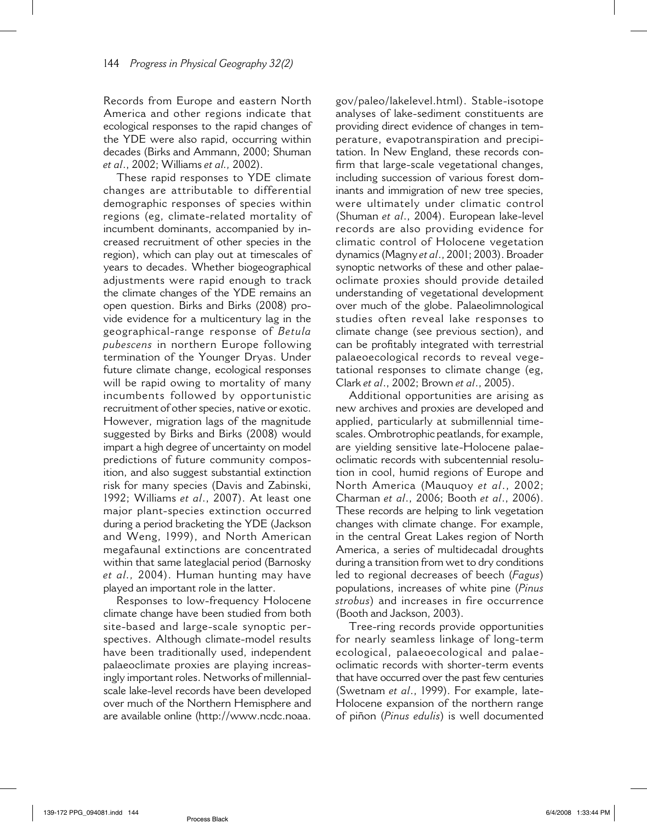Records from Europe and eastern North America and other regions indicate that ecological responses to the rapid changes of the YDE were also rapid, occurring within decades (Birks and Ammann, 2000; Shuman *et al*., 2002; Williams *et al.,* 2002).

These rapid responses to YDE climate changes are attributable to differential demographic responses of species within regions (eg, climate-related mortality of incumbent dominants, accompanied by increased recruitment of other species in the region), which can play out at timescales of years to decades. Whether biogeographical adjustments were rapid enough to track the climate changes of the YDE remains an open question. Birks and Birks (2008) provide evidence for a multicentury lag in the geographical-range response of *Betula pubescens* in northern Europe following termination of the Younger Dryas. Under future climate change, ecological responses will be rapid owing to mortality of many incumbents followed by opportunistic recruitment of other species, native or exotic. However, migration lags of the magnitude suggested by Birks and Birks (2008) would impart a high degree of uncertainty on model predictions of future community composition, and also suggest substantial extinction risk for many species (Davis and Zabinski, 1992; Williams *et al*., 2007). At least one major plant-species extinction occurred during a period bracketing the YDE (Jackson and Weng, 1999), and North American megafaunal extinctions are concentrated within that same lateglacial period (Barnosky *et al.,* 2004). Human hunting may have played an important role in the latter.

Responses to low-frequency Holocene climate change have been studied from both site-based and large-scale synoptic perspectives. Although climate-model results have been traditionally used, independent palaeoclimate proxies are playing increasingly important roles. Networks of millennialscale lake-level records have been developed over much of the Northern Hemisphere and are available online (http://www.ncdc.noaa.

gov/paleo/lakelevel.html). Stable-isotope analyses of lake-sediment constituents are providing direct evidence of changes in temperature, evapotranspiration and precipitation. In New England, these records confirm that large-scale vegetational changes, including succession of various forest dominants and immigration of new tree species, were ultimately under climatic control (Shuman *et al*., 2004). European lake-level records are also providing evidence for climatic control of Holocene vegetation dynamics (Magny *et al*., 2001; 2003). Broader synoptic networks of these and other palaeoclimate proxies should provide detailed understanding of vegetational development over much of the globe. Palaeolimnological studies often reveal lake responses to climate change (see previous section), and can be profitably integrated with terrestrial palaeoecological records to reveal vegetational responses to climate change (eg, Clark *et al*., 2002; Brown *et al*., 2005).

Additional opportunities are arising as new archives and proxies are developed and applied, particularly at submillennial timescales. Ombrotrophic peatlands, for example, are yielding sensitive late-Holocene palaeoclimatic records with subcentennial resolution in cool, humid regions of Europe and North America (Mauquoy *et al*., 2002; Charman *et al*., 2006; Booth *et al*., 2006). These records are helping to link vegetation changes with climate change. For example, in the central Great Lakes region of North America, a series of multidecadal droughts during a transition from wet to dry conditions led to regional decreases of beech (*Fagus*) populations, increases of white pine (*Pinus strobus*) and increases in fire occurrence (Booth and Jackson, 2003).

Tree-ring records provide opportunities for nearly seamless linkage of long-term ecological, palaeoecological and palaeoclimatic records with shorter-term events that have occurred over the past few centuries (Swetnam *et al*., 1999). For example, late-Holocene expansion of the northern range of piñon (*Pinus edulis*) is well documented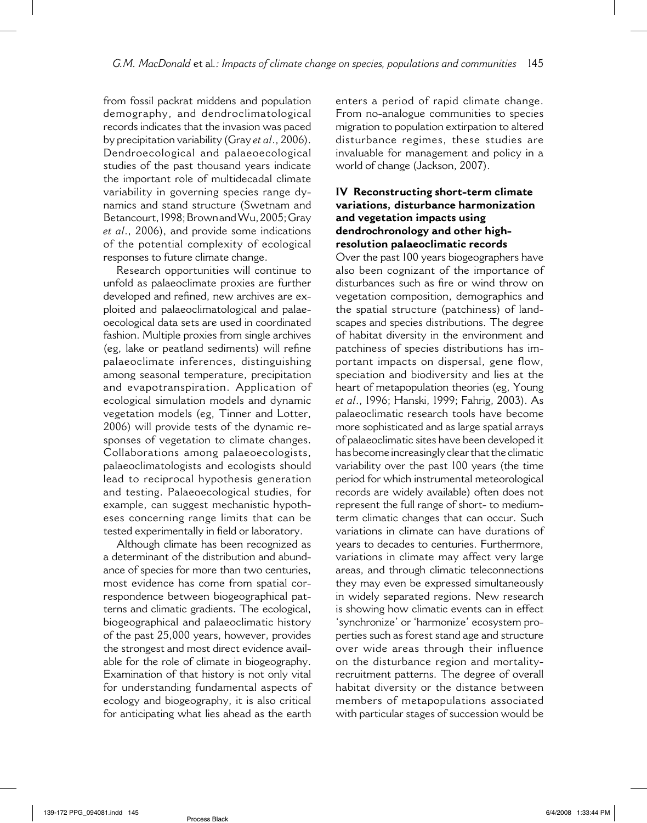from fossil packrat middens and population demography, and dendroclimatological records indicates that the invasion was paced by precipitation variability (Gray *et al*., 2006). Dendroecological and palaeoecological studies of the past thousand years indicate the important role of multidecadal climate variability in governing species range dynamics and stand structure (Swetnam and Betancourt, 1998; Brown and Wu, 2005; Gray *et al*., 2006), and provide some indications of the potential complexity of ecological responses to future climate change.

Research opportunities will continue to unfold as palaeoclimate proxies are further developed and refined, new archives are exploited and palaeoclimatological and palaeoecological data sets are used in coordinated fashion. Multiple proxies from single archives (eg, lake or peatland sediments) will refine palaeoclimate inferences, distinguishing among seasonal temperature, precipitation and evapotranspiration. Application of ecological simulation models and dynamic vegetation models (eg, Tinner and Lotter, 2006) will provide tests of the dynamic responses of vegetation to climate changes. Collaborations among palaeoecologists, palaeoclimatologists and ecologists should lead to reciprocal hypothesis generation and testing. Palaeoecological studies, for example, can suggest mechanistic hypotheses concerning range limits that can be tested experimentally in field or laboratory.

Although climate has been recognized as a determinant of the distribution and abundance of species for more than two centuries, most evidence has come from spatial correspondence between biogeographical patterns and climatic gradients. The ecological, biogeographical and palaeoclimatic history of the past 25,000 years, however, provides the strongest and most direct evidence available for the role of climate in biogeography. Examination of that history is not only vital for understanding fundamental aspects of ecology and biogeography, it is also critical for anticipating what lies ahead as the earth enters a period of rapid climate change. From no-analogue communities to species migration to population extirpation to altered disturbance regimes, these studies are invaluable for management and policy in a world of change (Jackson, 2007).

### **IV Reconstructing short-term climate variations, disturbance harmonization and vegetation impacts using dendrochronology and other highresolution palaeoclimatic records**

Over the past 100 years biogeographers have also been cognizant of the importance of disturbances such as fire or wind throw on vegetation composition, demographics and the spatial structure (patchiness) of landscapes and species distributions. The degree of habitat diversity in the environment and patchiness of species distributions has important impacts on dispersal, gene flow, speciation and biodiversity and lies at the heart of metapopulation theories (eg, Young *et al*., 1996; Hanski, 1999; Fahrig, 2003). As palaeoclimatic research tools have become more sophisticated and as large spatial arrays of palaeoclimatic sites have been developed it has become increasingly clear that the climatic variability over the past 100 years (the time period for which instrumental meteorological records are widely available) often does not represent the full range of short- to mediumterm climatic changes that can occur. Such variations in climate can have durations of years to decades to centuries. Furthermore, variations in climate may affect very large areas, and through climatic teleconnections they may even be expressed simultaneously in widely separated regions. New research is showing how climatic events can in effect 'synchronize' or 'harmonize' ecosystem properties such as forest stand age and structure over wide areas through their influence on the disturbance region and mortalityrecruitment patterns. The degree of overall habitat diversity or the distance between members of metapopulations associated with particular stages of succession would be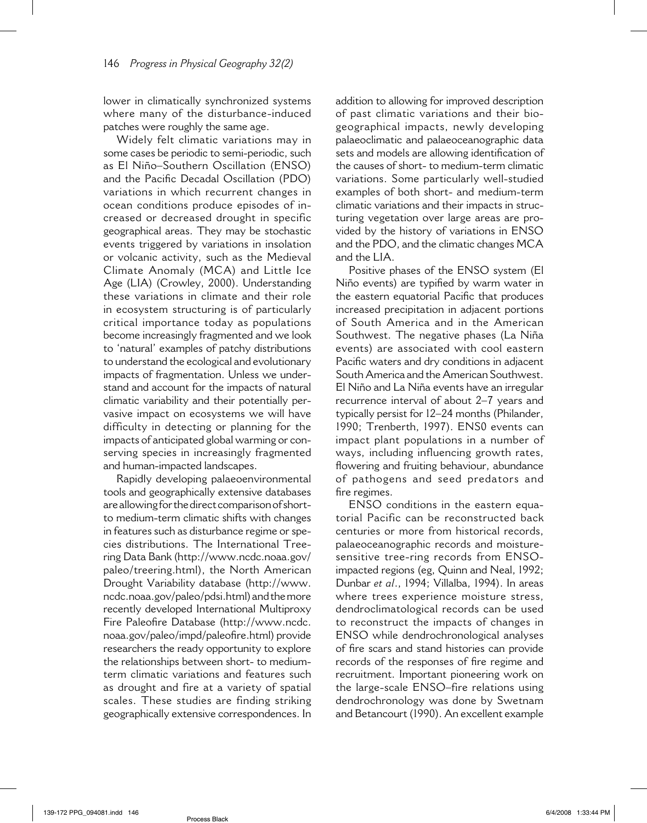lower in climatically synchronized systems where many of the disturbance-induced patches were roughly the same age.

Widely felt climatic variations may in some cases be periodic to semi-periodic, such as El Niño–Southern Oscillation (ENSO) and the Pacific Decadal Oscillation (PDO) variations in which recurrent changes in ocean conditions produce episodes of increased or decreased drought in specific geographical areas. They may be stochastic events triggered by variations in insolation or volcanic activity, such as the Medieval Climate Anomaly (MCA) and Little Ice Age (LIA) (Crowley, 2000). Understanding these variations in climate and their role in ecosystem structuring is of particularly critical importance today as populations become increasingly fragmented and we look to 'natural' examples of patchy distributions to understand the ecological and evolutionary impacts of fragmentation. Unless we understand and account for the impacts of natural climatic variability and their potentially pervasive impact on ecosystems we will have difficulty in detecting or planning for the impacts of anticipated global warming or conserving species in increasingly fragmented and human-impacted landscapes.

Rapidly developing palaeoenvironmental tools and geographically extensive databases are allowing for the direct comparison of shortto medium-term climatic shifts with changes in features such as disturbance regime or species distributions. The International Treering Data Bank (http://www.ncdc.noaa.gov/ paleo/treering.html), the North American Drought Variability database (http://www. ncdc.noaa.gov/paleo/pdsi.html) and the more recently developed International Multiproxy Fire Paleofire Database (http://www.ncdc. noaa.gov/paleo/impd/paleofire.html) provide researchers the ready opportunity to explore the relationships between short- to mediumterm climatic variations and features such as drought and fire at a variety of spatial scales. These studies are finding striking geographically extensive correspondences. In addition to allowing for improved description of past climatic variations and their biogeographical impacts, newly developing palaeoclimatic and palaeoceanographic data sets and models are allowing identification of the causes of short- to medium-term climatic variations. Some particularly well-studied examples of both short- and medium-term climatic variations and their impacts in structuring vegetation over large areas are provided by the history of variations in ENSO and the PDO, and the climatic changes MCA and the LIA.

Positive phases of the ENSO system (El Niño events) are typified by warm water in the eastern equatorial Pacific that produces increased precipitation in adjacent portions of South America and in the American Southwest. The negative phases (La Niña events) are associated with cool eastern Pacific waters and dry conditions in adjacent South America and the American Southwest. El Niño and La Niña events have an irregular recurrence interval of about 2–7 years and typically persist for 12–24 months (Philander, 1990; Trenberth, 1997). ENS0 events can impact plant populations in a number of ways, including influencing growth rates, flowering and fruiting behaviour, abundance of pathogens and seed predators and fire regimes.

ENSO conditions in the eastern equatorial Pacific can be reconstructed back centuries or more from historical records, palaeoceanographic records and moisturesensitive tree-ring records from ENSOimpacted regions (eg, Quinn and Neal, 1992; Dunbar *et al*., 1994; Villalba, 1994). In areas where trees experience moisture stress, dendroclimatological records can be used to reconstruct the impacts of changes in ENSO while dendrochronological analyses of fire scars and stand histories can provide records of the responses of fire regime and recruitment. Important pioneering work on the large-scale ENSO–fire relations using dendrochronology was done by Swetnam and Betancourt (1990). An excellent example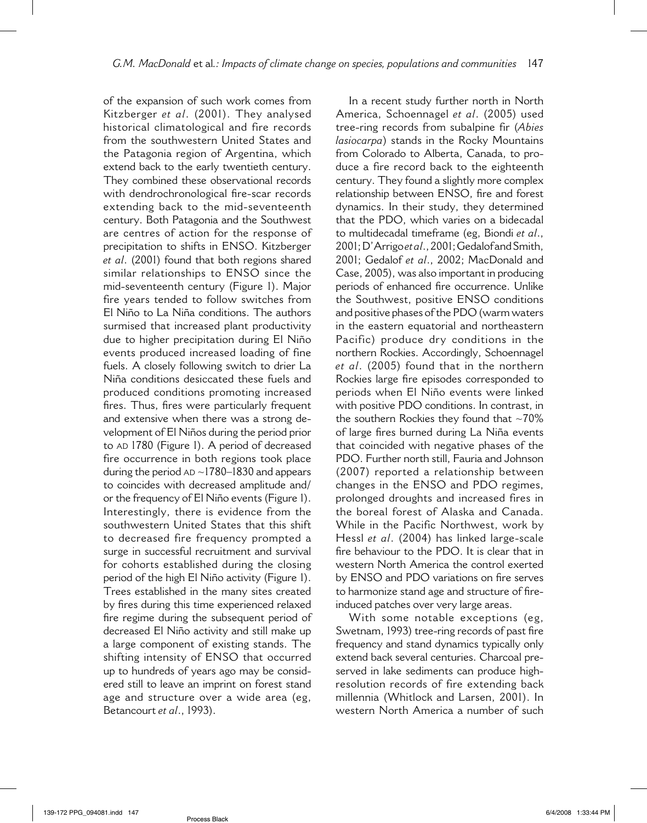of the expansion of such work comes from Kitzberger *et al*. (2001). They analysed historical climatological and fire records from the southwestern United States and the Patagonia region of Argentina, which extend back to the early twentieth century. They combined these observational records with dendrochronological fire-scar records extending back to the mid-seventeenth century. Both Patagonia and the Southwest are centres of action for the response of precipitation to shifts in ENSO. Kitzberger *et al*. (2001) found that both regions shared similar relationships to ENSO since the mid-seventeenth century (Figure 1). Major fire years tended to follow switches from El Niño to La Niña conditions. The authors surmised that increased plant productivity due to higher precipitation during El Niño events produced increased loading of fine fuels. A closely following switch to drier La Niña conditions desiccated these fuels and produced conditions promoting increased fires. Thus, fires were particularly frequent and extensive when there was a strong development of El Niños during the period prior to AD 1780 (Figure 1). A period of decreased fire occurrence in both regions took place during the period  $AD \sim 1780-1830$  and appears to coincides with decreased amplitude and/ or the frequency of El Niño events (Figure 1). Interestingly, there is evidence from the southwestern United States that this shift to decreased fire frequency prompted a surge in successful recruitment and survival for cohorts established during the closing period of the high El Niño activity (Figure 1). Trees established in the many sites created by fires during this time experienced relaxed fire regime during the subsequent period of decreased El Niño activity and still make up a large component of existing stands. The shifting intensity of ENSO that occurred up to hundreds of years ago may be considered still to leave an imprint on forest stand age and structure over a wide area (eg, Betancourt *et al*., 1993).

In a recent study further north in North America, Schoennagel *et al*. (2005) used tree-ring records from subalpine fir (*Abies lasiocarpa*) stands in the Rocky Mountains from Colorado to Alberta, Canada, to produce a fire record back to the eighteenth century. They found a slightly more complex relationship between ENSO, fire and forest dynamics. In their study, they determined that the PDO, which varies on a bidecadal to multidecadal timeframe (eg, Biondi *et al*., 2001; D'Arrigo *et al.*, 2001; Gedalof and Smith, 2001; Gedalof *et al*., 2002; MacDonald and Case, 2005), was also important in producing periods of enhanced fire occurrence. Unlike the Southwest, positive ENSO conditions and positive phases of the PDO (warm waters in the eastern equatorial and northeastern Pacific) produce dry conditions in the northern Rockies. Accordingly, Schoennagel *et al*. (2005) found that in the northern Rockies large fire episodes corresponded to periods when El Niño events were linked with positive PDO conditions. In contrast, in the southern Rockies they found that  $\sim70\%$ of large fires burned during La Niña events that coincided with negative phases of the PDO. Further north still, Fauria and Johnson (2007) reported a relationship between changes in the ENSO and PDO regimes, prolonged droughts and increased fires in the boreal forest of Alaska and Canada. While in the Pacific Northwest, work by Hessl *et al*. (2004) has linked large-scale fire behaviour to the PDO. It is clear that in western North America the control exerted by ENSO and PDO variations on fire serves to harmonize stand age and structure of fireinduced patches over very large areas.

With some notable exceptions (eg, Swetnam, 1993) tree-ring records of past fire frequency and stand dynamics typically only extend back several centuries. Charcoal preserved in lake sediments can produce highresolution records of fire extending back millennia (Whitlock and Larsen, 2001). In western North America a number of such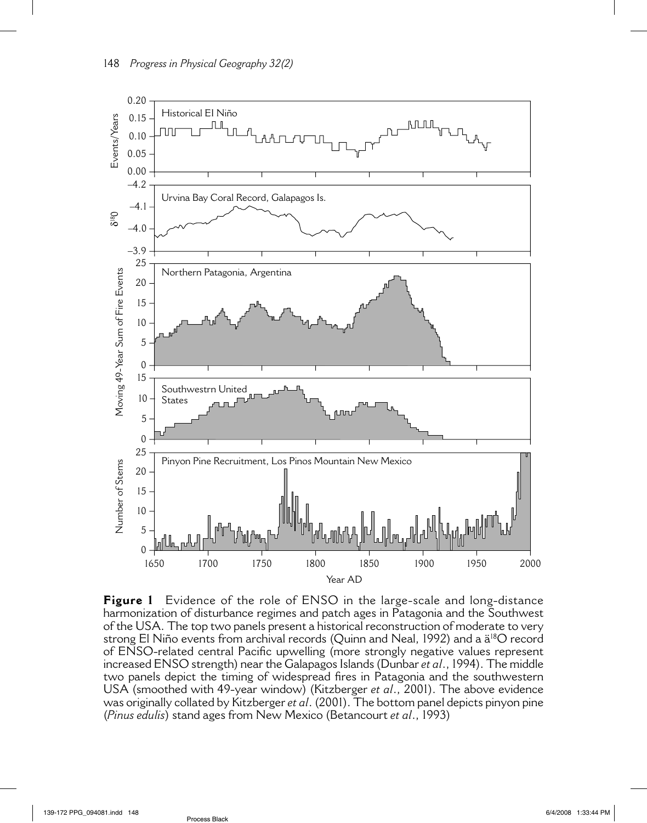

**Figure 1** Evidence of the role of ENSO in the large-scale and long-distance harmonization of disturbance regimes and patch ages in Patagonia and the Southwest of the USA. The top two panels present a historical reconstruction of moderate to very strong El Niño events from archival records (Quinn and Neal, 1992) and a ä<sup>18</sup>O record of ENSO-related central Pacific upwelling (more strongly negative values represent increased ENSO strength) near the Galapagos Islands (Dunbar *et al*., 1994). The middle two panels depict the timing of widespread fires in Patagonia and the southwestern USA (smoothed with 49-year window) (Kitzberger *et al*., 2001). The above evidence was originally collated by Kitzberger *et al*. (2001). The bottom panel depicts pinyon pine (*Pinus edulis*) stand ages from New Mexico (Betancourt *et al*., 1993)

Process Black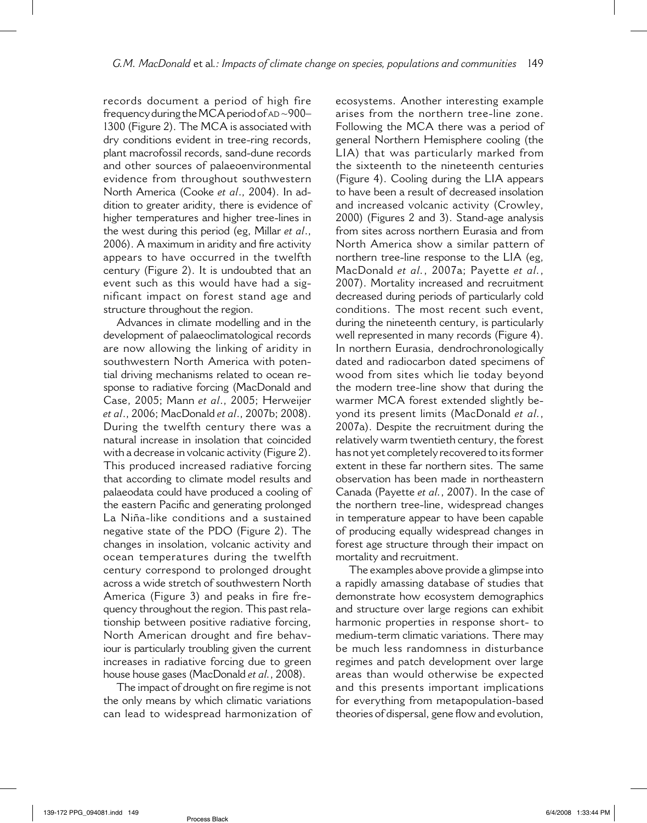records document a period of high fire frequency during the MCA period of AD ~900– 1300 (Figure 2). The MCA is associated with dry conditions evident in tree-ring records, plant macrofossil records, sand-dune records and other sources of palaeoenvironmental evidence from throughout southwestern North America (Cooke *et al*., 2004). In addition to greater aridity, there is evidence of higher temperatures and higher tree-lines in the west during this period (eg, Millar *et al*., 2006). A maximum in aridity and fire activity appears to have occurred in the twelfth century (Figure 2). It is undoubted that an event such as this would have had a significant impact on forest stand age and structure throughout the region.

Advances in climate modelling and in the development of palaeoclimatological records are now allowing the linking of aridity in southwestern North America with potential driving mechanisms related to ocean response to radiative forcing (MacDonald and Case, 2005; Mann *et al*., 2005; Herweijer *et al*., 2006; MacDonald *et al*., 2007b; 2008). During the twelfth century there was a natural increase in insolation that coincided with a decrease in volcanic activity (Figure 2). This produced increased radiative forcing that according to climate model results and palaeodata could have produced a cooling of the eastern Pacific and generating prolonged La Niña-like conditions and a sustained negative state of the PDO (Figure 2). The changes in insolation, volcanic activity and ocean temperatures during the twelfth century correspond to prolonged drought across a wide stretch of southwestern North America (Figure 3) and peaks in fire frequency throughout the region. This past relationship between positive radiative forcing, North American drought and fire behaviour is particularly troubling given the current increases in radiative forcing due to green house house gases (MacDonald *et al.*, 2008).

The impact of drought on fire regime is not the only means by which climatic variations can lead to widespread harmonization of ecosystems. Another interesting example arises from the northern tree-line zone. Following the MCA there was a period of general Northern Hemisphere cooling (the LIA) that was particularly marked from the sixteenth to the nineteenth centuries (Figure 4). Cooling during the LIA appears to have been a result of decreased insolation and increased volcanic activity (Crowley, 2000) (Figures 2 and 3). Stand-age analysis from sites across northern Eurasia and from North America show a similar pattern of northern tree-line response to the LIA (eg, MacDonald *et al.*, 2007a; Payette *et al.*, 2007). Mortality increased and recruitment decreased during periods of particularly cold conditions. The most recent such event, during the nineteenth century, is particularly well represented in many records (Figure 4). In northern Eurasia, dendrochronologically dated and radiocarbon dated specimens of wood from sites which lie today beyond the modern tree-line show that during the warmer MCA forest extended slightly beyond its present limits (MacDonald *et al.*, 2007a). Despite the recruitment during the relatively warm twentieth century, the forest has not yet completely recovered to its former extent in these far northern sites. The same observation has been made in northeastern Canada (Payette *et al.*, 2007). In the case of the northern tree-line, widespread changes in temperature appear to have been capable of producing equally widespread changes in forest age structure through their impact on mortality and recruitment.

The examples above provide a glimpse into a rapidly amassing database of studies that demonstrate how ecosystem demographics and structure over large regions can exhibit harmonic properties in response short- to medium-term climatic variations. There may be much less randomness in disturbance regimes and patch development over large areas than would otherwise be expected and this presents important implications for everything from metapopulation-based theories of dispersal, gene flow and evolution,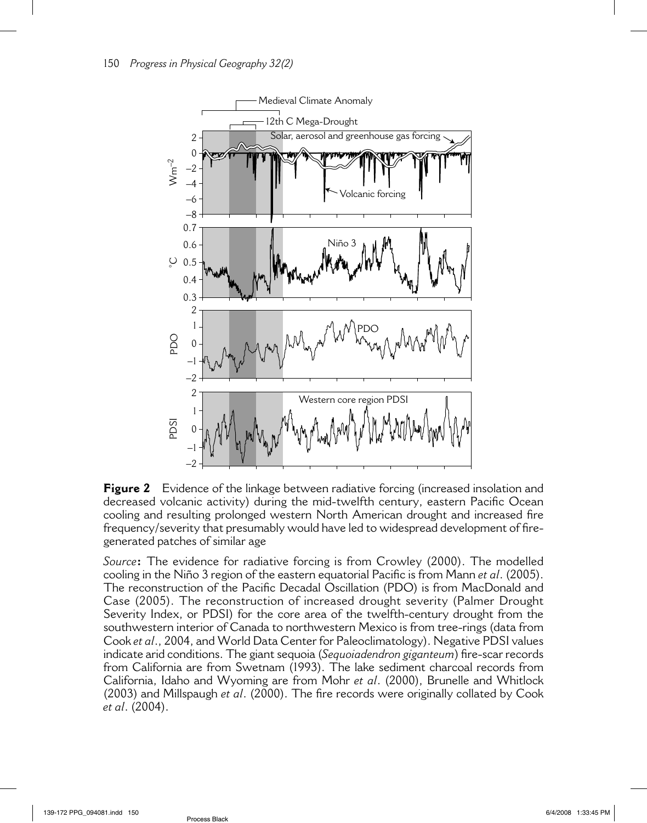

**Figure 2** Evidence of the linkage between radiative forcing (increased insolation and decreased volcanic activity) during the mid-twelfth century, eastern Pacific Ocean cooling and resulting prolonged western North American drought and increased fire frequency/severity that presumably would have led to widespread development of firegenerated patches of similar age

*Source***:** The evidence for radiative forcing is from Crowley (2000). The modelled cooling in the Niño 3 region of the eastern equatorial Pacific is from Mann *et al.* (2005). The reconstruction of the Pacific Decadal Oscillation (PDO) is from MacDonald and Case (2005). The reconstruction of increased drought severity (Palmer Drought Severity Index, or PDSI) for the core area of the twelfth-century drought from the southwestern interior of Canada to northwestern Mexico is from tree-rings (data from Cook *et al*., 2004, and World Data Center for Paleoclimatology). Negative PDSI values indicate arid conditions. The giant sequoia (*Sequoiadendron giganteum*) fire-scar records from California are from Swetnam (1993). The lake sediment charcoal records from California, Idaho and Wyoming are from Mohr *et al*. (2000), Brunelle and Whitlock (2003) and Millspaugh *et al.* (2000). The fire records were originally collated by Cook *et al*. (2004).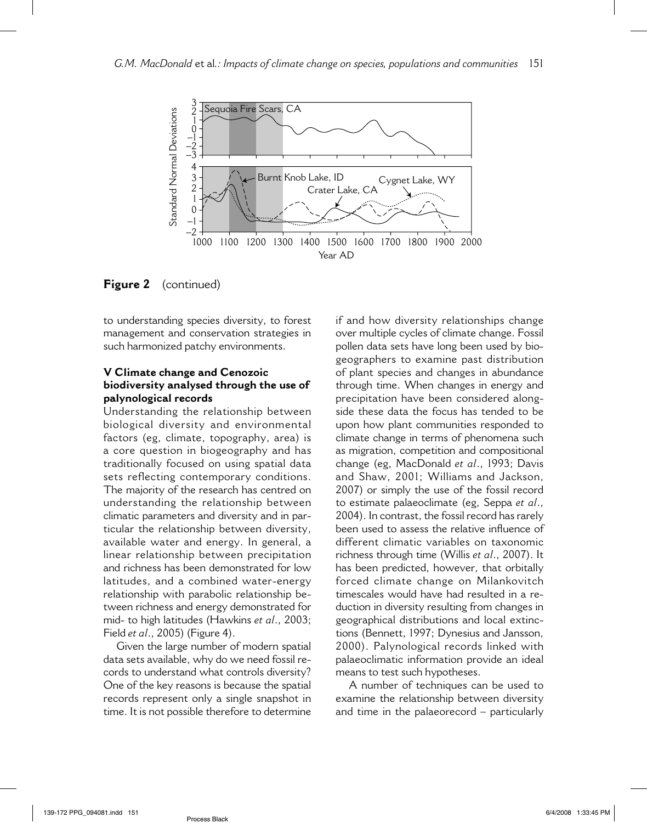

**Figure 2** (continued)

to understanding species diversity, to forest management and conservation strategies in such harmonized patchy environments.

#### **V Climate change and Cenozoic biodiversity analysed through the use of palynological records**

Understanding the relationship between biological diversity and environmental factors (eg, climate, topography, area) is a core question in biogeography and has traditionally focused on using spatial data sets reflecting contemporary conditions. The majority of the research has centred on understanding the relationship between climatic parameters and diversity and in particular the relationship between diversity, available water and energy. In general, a linear relationship between precipitation and richness has been demonstrated for low latitudes, and a combined water-energy relationship with parabolic relationship between richness and energy demonstrated for mid- to high latitudes (Hawkins *et al*., 2003; Field *et al*., 2005) (Figure 4).

Given the large number of modern spatial data sets available, why do we need fossil records to understand what controls diversity? One of the key reasons is because the spatial records represent only a single snapshot in time. It is not possible therefore to determine if and how diversity relationships change over multiple cycles of climate change. Fossil pollen data sets have long been used by biogeographers to examine past distribution of plant species and changes in abundance through time. When changes in energy and precipitation have been considered alongside these data the focus has tended to be upon how plant communities responded to climate change in terms of phenomena such as migration, competition and compositional change (eg, MacDonald *et al*., 1993; Davis and Shaw, 2001; Williams and Jackson, 2007) or simply the use of the fossil record to estimate palaeoclimate (eg, Seppa *et al*., 2004). In contrast, the fossil record has rarely been used to assess the relative influence of different climatic variables on taxonomic richness through time (Willis *et al*., 2007). It has been predicted, however, that orbitally forced climate change on Milankovitch timescales would have had resulted in a reduction in diversity resulting from changes in geographical distributions and local extinctions (Bennett, 1997; Dynesius and Jansson, 2000). Palynological records linked with palaeoclimatic information provide an ideal means to test such hypotheses.

A number of techniques can be used to examine the relationship between diversity and time in the palaeorecord – particularly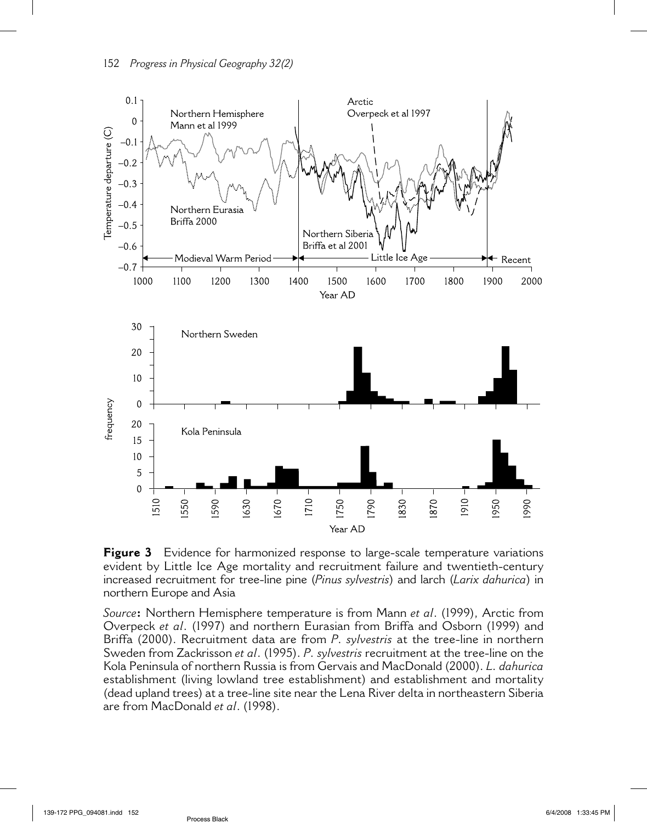

**Figure 3** Evidence for harmonized response to large-scale temperature variations evident by Little Ice Age mortality and recruitment failure and twentieth-century increased recruitment for tree-line pine (*Pinus sylvestris*) and larch (*Larix dahurica*) in northern Europe and Asia

*Source***:** Northern Hemisphere temperature is from Mann *et al*. (1999), Arctic from Overpeck *et al*. (1997) and northern Eurasian from Briffa and Osborn (1999) and Briffa (2000). Recruitment data are from *P. sylvestris* at the tree-line in northern Sweden from Zackrisson *et al*. (1995). *P. sylvestris* recruitment at the tree-line on the Kola Peninsula of northern Russia is from Gervais and MacDonald (2000). *L. dahurica* establishment (living lowland tree establishment) and establishment and mortality (dead upland trees) at a tree-line site near the Lena River delta in northeastern Siberia are from MacDonald *et al*. (1998).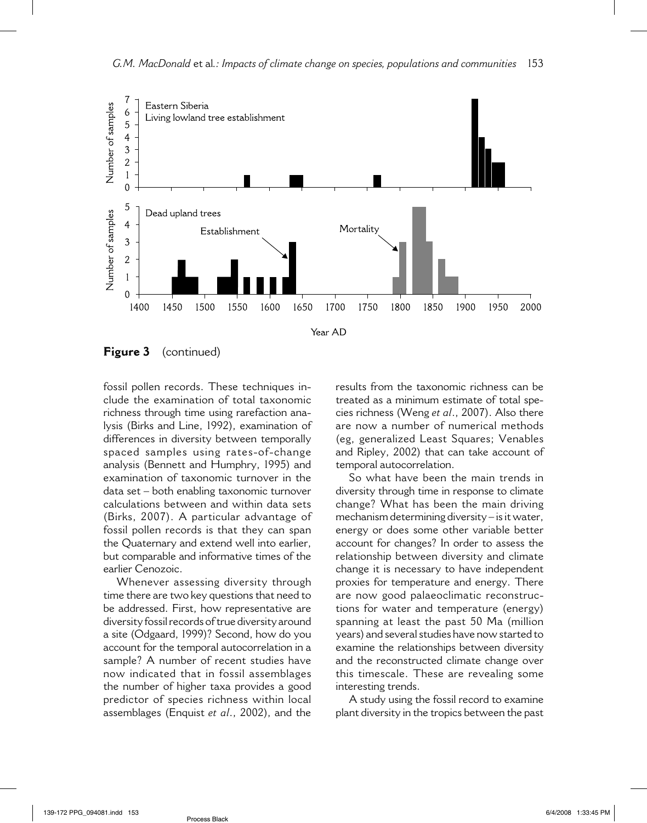

**Figure 3** (continued)

fossil pollen records. These techniques include the examination of total taxonomic richness through time using rarefaction analysis (Birks and Line, 1992), examination of differences in diversity between temporally spaced samples using rates-of-change analysis (Bennett and Humphry, 1995) and examination of taxonomic turnover in the data set – both enabling taxonomic turnover calculations between and within data sets (Birks, 2007). A particular advantage of fossil pollen records is that they can span the Quaternary and extend well into earlier, but comparable and informative times of the earlier Cenozoic.

Whenever assessing diversity through time there are two key questions that need to be addressed. First, how representative are diversity fossil records of true diversity around a site (Odgaard, 1999)? Second, how do you account for the temporal autocorrelation in a sample? A number of recent studies have now indicated that in fossil assemblages the number of higher taxa provides a good predictor of species richness within local assemblages (Enquist *et al*., 2002), and the results from the taxonomic richness can be treated as a minimum estimate of total species richness (Weng *et al*., 2007). Also there are now a number of numerical methods (eg, generalized Least Squares; Venables and Ripley, 2002) that can take account of temporal autocorrelation.

So what have been the main trends in diversity through time in response to climate change? What has been the main driving mechanism determining diversity – is it water, energy or does some other variable better account for changes? In order to assess the relationship between diversity and climate change it is necessary to have independent proxies for temperature and energy. There are now good palaeoclimatic reconstructions for water and temperature (energy) spanning at least the past 50 Ma (million years) and several studies have now started to examine the relationships between diversity and the reconstructed climate change over this timescale. These are revealing some interesting trends.

A study using the fossil record to examine plant diversity in the tropics between the past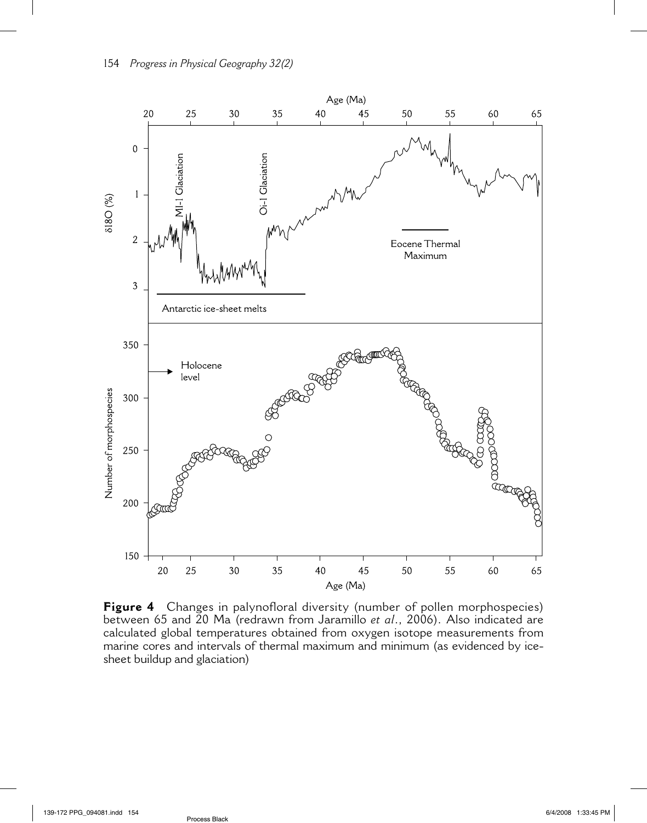

**Figure 4** Changes in palynofloral diversity (number of pollen morphospecies) between 65 and 20 Ma (redrawn from Jaramillo *et al*., 2006). Also indicated are calculated global temperatures obtained from oxygen isotope measurements from marine cores and intervals of thermal maximum and minimum (as evidenced by icesheet buildup and glaciation)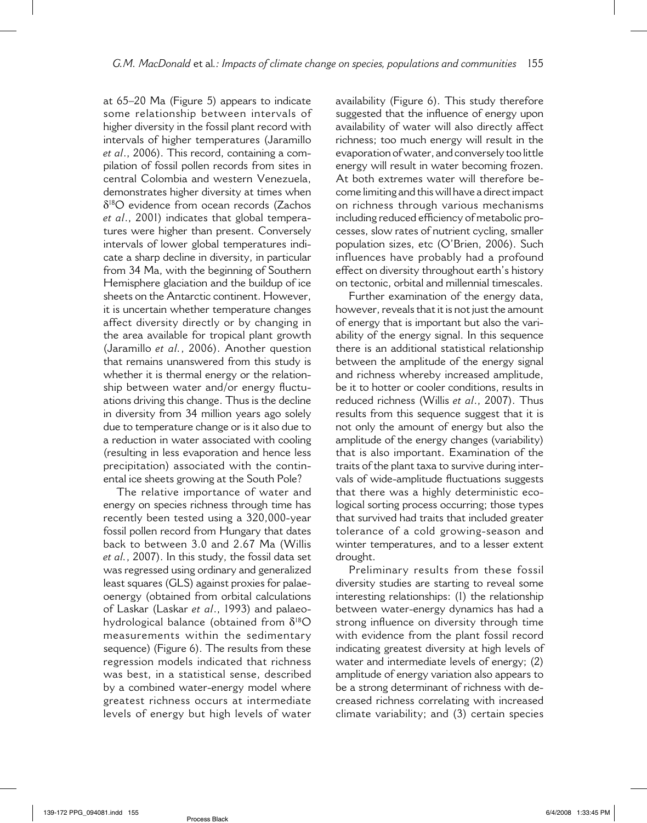at 65–20 Ma (Figure 5) appears to indicate some relationship between intervals of higher diversity in the fossil plant record with intervals of higher temperatures (Jaramillo *et al*., 2006). This record, containing a compilation of fossil pollen records from sites in central Colombia and western Venezuela, demonstrates higher diversity at times when δ18O evidence from ocean records (Zachos *et al*., 2001) indicates that global temperatures were higher than present. Conversely intervals of lower global temperatures indicate a sharp decline in diversity, in particular from 34 Ma, with the beginning of Southern Hemisphere glaciation and the buildup of ice sheets on the Antarctic continent. However, it is uncertain whether temperature changes affect diversity directly or by changing in the area available for tropical plant growth (Jaramillo *et al.*, 2006). Another question that remains unanswered from this study is whether it is thermal energy or the relationship between water and/or energy fluctuations driving this change. Thus is the decline in diversity from 34 million years ago solely due to temperature change or is it also due to a reduction in water associated with cooling (resulting in less evaporation and hence less precipitation) associated with the continental ice sheets growing at the South Pole?

The relative importance of water and energy on species richness through time has recently been tested using a 320,000-year fossil pollen record from Hungary that dates back to between 3.0 and 2.67 Ma (Willis *et al.*, 2007). In this study, the fossil data set was regressed using ordinary and generalized least squares (GLS) against proxies for palaeoenergy (obtained from orbital calculations of Laskar (Laskar *et al*., 1993) and palaeohydrological balance (obtained from  $\delta^{18}O$ measurements within the sedimentary sequence) (Figure 6). The results from these regression models indicated that richness was best, in a statistical sense, described by a combined water-energy model where greatest richness occurs at intermediate levels of energy but high levels of water availability (Figure 6). This study therefore suggested that the influence of energy upon availability of water will also directly affect richness; too much energy will result in the evaporation of water, and conversely too little energy will result in water becoming frozen. At both extremes water will therefore become limiting and this will have a direct impact on richness through various mechanisms including reduced efficiency of metabolic processes, slow rates of nutrient cycling, smaller population sizes, etc (O'Brien, 2006). Such influences have probably had a profound effect on diversity throughout earth's history on tectonic, orbital and millennial timescales.

Further examination of the energy data, however, reveals that it is not just the amount of energy that is important but also the variability of the energy signal. In this sequence there is an additional statistical relationship between the amplitude of the energy signal and richness whereby increased amplitude, be it to hotter or cooler conditions, results in reduced richness (Willis *et al*., 2007). Thus results from this sequence suggest that it is not only the amount of energy but also the amplitude of the energy changes (variability) that is also important. Examination of the traits of the plant taxa to survive during intervals of wide-amplitude fluctuations suggests that there was a highly deterministic ecological sorting process occurring; those types that survived had traits that included greater tolerance of a cold growing-season and winter temperatures, and to a lesser extent drought.

Preliminary results from these fossil diversity studies are starting to reveal some interesting relationships: (1) the relationship between water-energy dynamics has had a strong influence on diversity through time with evidence from the plant fossil record indicating greatest diversity at high levels of water and intermediate levels of energy; (2) amplitude of energy variation also appears to be a strong determinant of richness with decreased richness correlating with increased climate variability; and (3) certain species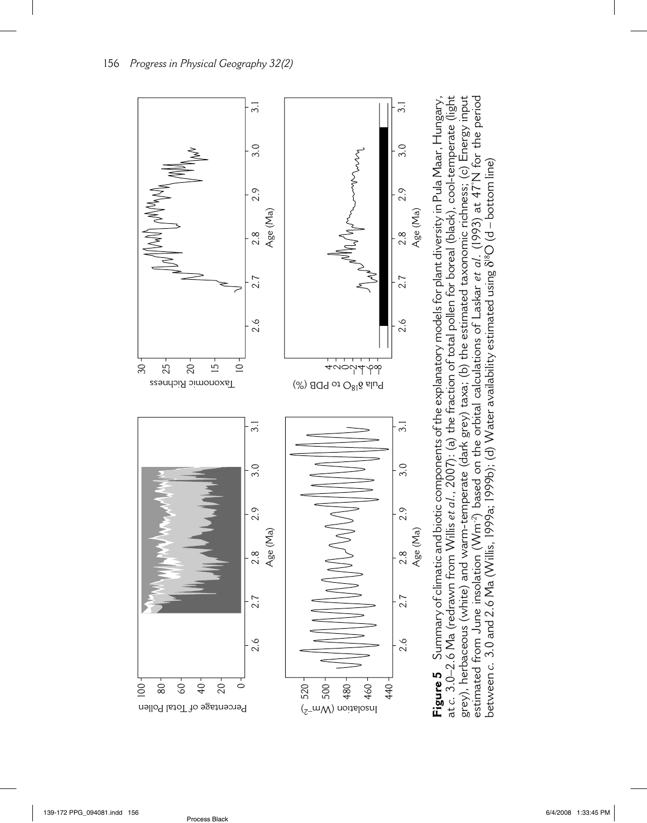

**Figure 5** Summary of climatic and biotic components of the explanatory models for plant diversity in Pula Maar, Hungary, at *c.* 3.0–2.6 Ma (redrawn from Willis *et al*., 2007): (a) the fraction of total pollen for boreal (black), cool-temperate (light grey), herbaceous (white) and warm-temperate (dark grey) taxa; (b) the estimated taxonomic richness; (c) Energy input estimated from June insolation (Wm-2) based on the orbital calculations of Laskar *et al*. (1993) at 47°N for the period at c. 3.0–2.6 Ma (redrawn from Willis *et al*., 2007): (a) the fraction of total pollen for boreal (black), cool-temperate (light grey), herbaceous (white) and warm-temperate (dark grey) taxa; (b) the estimated taxonomic richness; (c) Energy input estimated from June insolation (Wm<sup>-2</sup>) based on the orbital calculations of Laskar *et al*. (1993) at 47°N for the period Summary of climatic and biotic components of the explanatory models for plant diversity in Pula Maar, Hungary, between  $c.~3.0$  and  $2.6$  Ma (Willis, 1999a; 1999b); (d) Water availability estimated using  $8^{18}\mathrm{O}$  (d – bottom line) δ18O (d – bottom line) between *c.* 3.0 and 2.6 Ma (Willis, 1999a; 1999b); (d) Water availability estimated using Figure 5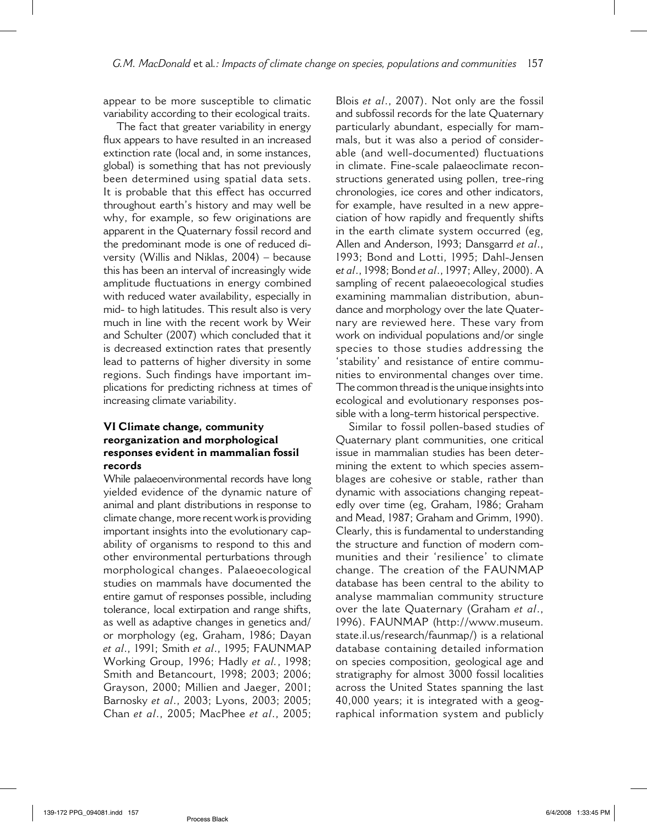appear to be more susceptible to climatic variability according to their ecological traits.

The fact that greater variability in energy flux appears to have resulted in an increased extinction rate (local and, in some instances, global) is something that has not previously been determined using spatial data sets. It is probable that this effect has occurred throughout earth's history and may well be why, for example, so few originations are apparent in the Quaternary fossil record and the predominant mode is one of reduced diversity (Willis and Niklas, 2004) – because this has been an interval of increasingly wide amplitude fluctuations in energy combined with reduced water availability, especially in mid- to high latitudes. This result also is very much in line with the recent work by Weir and Schulter (2007) which concluded that it is decreased extinction rates that presently lead to patterns of higher diversity in some regions. Such findings have important implications for predicting richness at times of increasing climate variability.

## **VI Climate change, community reorganization and morphological responses evident in mammalian fossil records**

While palaeoenvironmental records have long yielded evidence of the dynamic nature of animal and plant distributions in response to climate change, more recent work is providing important insights into the evolutionary capability of organisms to respond to this and other environmental perturbations through morphological changes. Palaeoecological studies on mammals have documented the entire gamut of responses possible, including tolerance, local extirpation and range shifts, as well as adaptive changes in genetics and/ or morphology (eg, Graham, 1986; Dayan *et al*., 1991; Smith *et al*., 1995; FAUNMAP Working Group, 1996; Hadly *et al.*, 1998; Smith and Betancourt, 1998; 2003; 2006; Grayson, 2000; Millien and Jaeger, 2001; Barnosky *et al*., 2003; Lyons, 2003; 2005; Chan *et al*., 2005; MacPhee *et al*., 2005;

Blois *et al*., 2007). Not only are the fossil and subfossil records for the late Quaternary particularly abundant, especially for mammals, but it was also a period of considerable (and well-documented) fluctuations in climate. Fine-scale palaeoclimate reconstructions generated using pollen, tree-ring chronologies, ice cores and other indicators, for example, have resulted in a new appreciation of how rapidly and frequently shifts in the earth climate system occurred (eg, Allen and Anderson, 1993; Dansgarrd *et al*., 1993; Bond and Lotti, 1995; Dahl-Jensen e*t al*., 1998; Bond *et al*., 1997; Alley, 2000). A sampling of recent palaeoecological studies examining mammalian distribution, abundance and morphology over the late Quaternary are reviewed here. These vary from work on individual populations and/or single species to those studies addressing the 'stability' and resistance of entire communities to environmental changes over time. The common thread is the unique insights into ecological and evolutionary responses possible with a long-term historical perspective.

Similar to fossil pollen-based studies of Quaternary plant communities, one critical issue in mammalian studies has been determining the extent to which species assemblages are cohesive or stable, rather than dynamic with associations changing repeatedly over time (eg, Graham, 1986; Graham and Mead, 1987; Graham and Grimm, 1990). Clearly, this is fundamental to understanding the structure and function of modern communities and their 'resilience' to climate change. The creation of the FAUNMAP database has been central to the ability to analyse mammalian community structure over the late Quaternary (Graham *et al*., 1996). FAUNMAP (http://www.museum. state.il.us/research/faunmap/) is a relational database containing detailed information on species composition, geological age and stratigraphy for almost 3000 fossil localities across the United States spanning the last 40,000 years; it is integrated with a geographical information system and publicly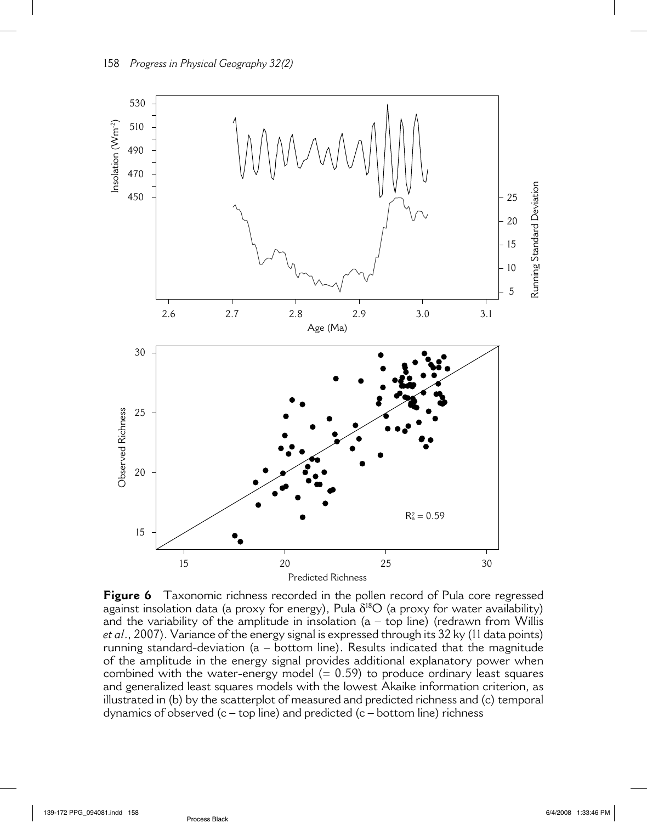

**Figure 6** Taxonomic richness recorded in the pollen record of Pula core regressed against insolation data (a proxy for energy), Pula  $\delta^{18}O$  (a proxy for water availability) and the variability of the amplitude in insolation  $(a - top line)$  (redrawn from Willis *et al*., 2007). Variance of the energy signal is expressed through its 32 ky (11 data points) running standard-deviation (a – bottom line). Results indicated that the magnitude of the amplitude in the energy signal provides additional explanatory power when combined with the water-energy model  $(= 0.59)$  to produce ordinary least squares and generalized least squares models with the lowest Akaike information criterion, as illustrated in (b) by the scatterplot of measured and predicted richness and (c) temporal dynamics of observed  $(c - top line)$  and predicted  $(c - bottom line)$  richness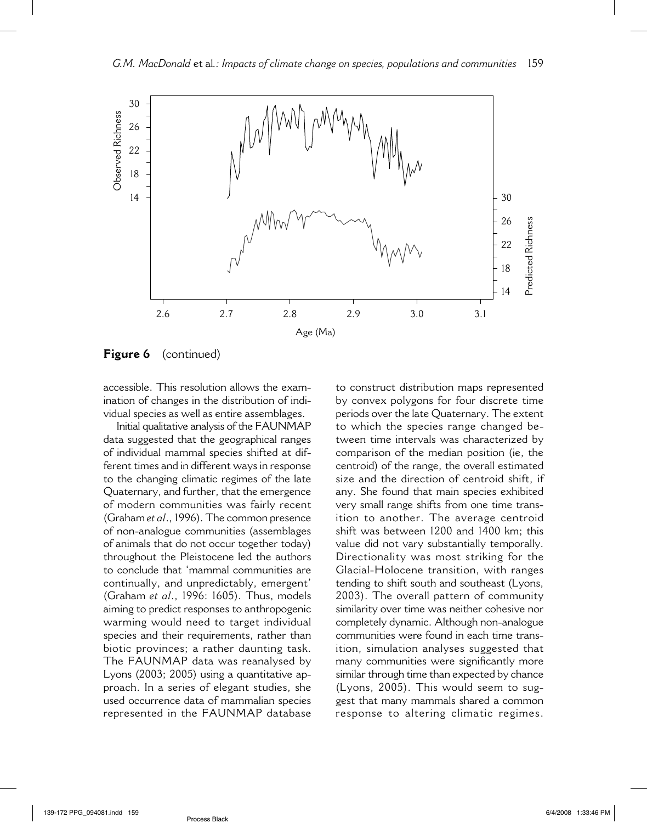

**Figure 6** (continued)

accessible. This resolution allows the examination of changes in the distribution of individual species as well as entire assemblages.

Initial qualitative analysis of the FAUNMAP data suggested that the geographical ranges of individual mammal species shifted at different times and in different ways in response to the changing climatic regimes of the late Quaternary, and further, that the emergence of modern communities was fairly recent (Graham *et al*., 1996). The common presence of non-analogue communities (assemblages of animals that do not occur together today) throughout the Pleistocene led the authors to conclude that 'mammal communities are continually, and unpredictably, emergent' (Graham *et al*., 1996: 1605). Thus, models aiming to predict responses to anthropogenic warming would need to target individual species and their requirements, rather than biotic provinces; a rather daunting task. The FAUNMAP data was reanalysed by Lyons (2003; 2005) using a quantitative approach. In a series of elegant studies, she used occurrence data of mammalian species represented in the FAUNMAP database to construct distribution maps represented by convex polygons for four discrete time periods over the late Quaternary. The extent to which the species range changed between time intervals was characterized by comparison of the median position (ie, the centroid) of the range, the overall estimated size and the direction of centroid shift, if any. She found that main species exhibited very small range shifts from one time transition to another. The average centroid shift was between 1200 and 1400 km; this value did not vary substantially temporally. Directionality was most striking for the Glacial-Holocene transition, with ranges tending to shift south and southeast (Lyons, 2003). The overall pattern of community similarity over time was neither cohesive nor completely dynamic. Although non-analogue communities were found in each time transition, simulation analyses suggested that many communities were significantly more similar through time than expected by chance (Lyons, 2005). This would seem to suggest that many mammals shared a common response to altering climatic regimes.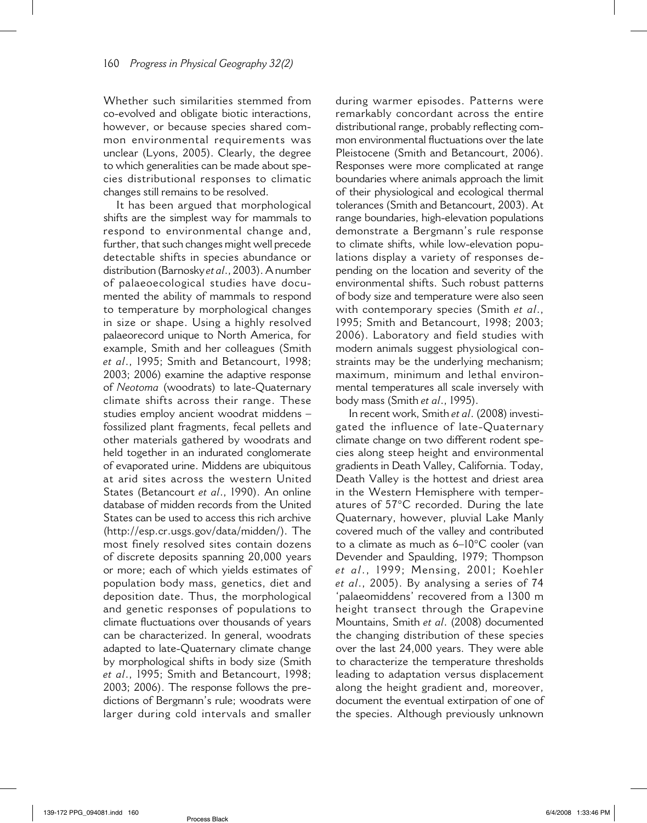Whether such similarities stemmed from co-evolved and obligate biotic interactions, however, or because species shared common environmental requirements was unclear (Lyons, 2005). Clearly, the degree to which generalities can be made about species distributional responses to climatic changes still remains to be resolved.

It has been argued that morphological shifts are the simplest way for mammals to respond to environmental change and, further, that such changes might well precede detectable shifts in species abundance or distribution (Barnosky *et al*., 2003). A number of palaeoecological studies have documented the ability of mammals to respond to temperature by morphological changes in size or shape. Using a highly resolved palaeorecord unique to North America, for example, Smith and her colleagues (Smith *et al*., 1995; Smith and Betancourt, 1998; 2003; 2006) examine the adaptive response of *Neotoma* (woodrats) to late-Quaternary climate shifts across their range. These studies employ ancient woodrat middens – fossilized plant fragments, fecal pellets and other materials gathered by woodrats and held together in an indurated conglomerate of evaporated urine. Middens are ubiquitous at arid sites across the western United States (Betancourt *et al*., 1990). An online database of midden records from the United States can be used to access this rich archive (http://esp.cr.usgs.gov/data/midden/). The most finely resolved sites contain dozens of discrete deposits spanning 20,000 years or more; each of which yields estimates of population body mass, genetics, diet and deposition date. Thus, the morphological and genetic responses of populations to climate fluctuations over thousands of years can be characterized. In general, woodrats adapted to late-Quaternary climate change by morphological shifts in body size (Smith *et al*., 1995; Smith and Betancourt, 1998; 2003; 2006). The response follows the predictions of Bergmann's rule; woodrats were larger during cold intervals and smaller during warmer episodes. Patterns were remarkably concordant across the entire distributional range, probably reflecting common environmental fluctuations over the late Pleistocene (Smith and Betancourt, 2006). Responses were more complicated at range boundaries where animals approach the limit of their physiological and ecological thermal tolerances (Smith and Betancourt, 2003). At range boundaries, high-elevation populations demonstrate a Bergmann's rule response to climate shifts, while low-elevation populations display a variety of responses depending on the location and severity of the environmental shifts. Such robust patterns of body size and temperature were also seen with contemporary species (Smith *et al*., 1995; Smith and Betancourt, 1998; 2003; 2006). Laboratory and field studies with modern animals suggest physiological constraints may be the underlying mechanism; maximum, minimum and lethal environmental temperatures all scale inversely with body mass (Smith *et al*., 1995).

In recent work, Smith *et al*. (2008) investigated the influence of late-Quaternary climate change on two different rodent species along steep height and environmental gradients in Death Valley, California. Today, Death Valley is the hottest and driest area in the Western Hemisphere with temperatures of 57°C recorded. During the late Quaternary, however, pluvial Lake Manly covered much of the valley and contributed to a climate as much as 6–10°C cooler (van Devender and Spaulding, 1979; Thompson *et al*., 1999; Mensing, 2001; Koehler *et al*., 2005). By analysing a series of 74 'palaeomiddens' recovered from a 1300 m height transect through the Grapevine Mountains, Smith *et al*. (2008) documented the changing distribution of these species over the last 24,000 years. They were able to characterize the temperature thresholds leading to adaptation versus displacement along the height gradient and, moreover, document the eventual extirpation of one of the species. Although previously unknown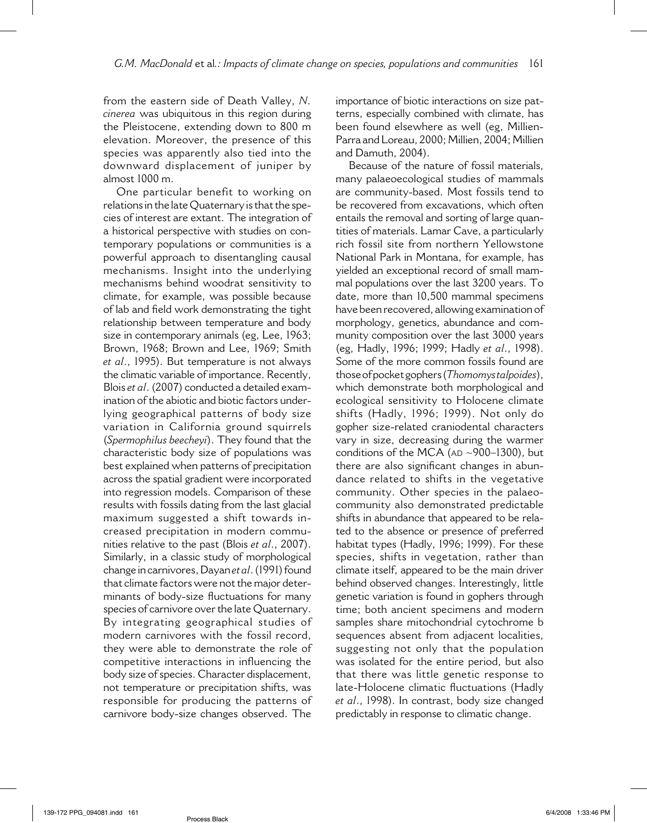from the eastern side of Death Valley, *N. cinerea* was ubiquitous in this region during the Pleistocene, extending down to 800 m elevation. Moreover, the presence of this species was apparently also tied into the downward displacement of juniper by almost 1000 m.

One particular benefit to working on relations in the late Quaternary is that the species of interest are extant. The integration of a historical perspective with studies on contemporary populations or communities is a powerful approach to disentangling causal mechanisms. Insight into the underlying mechanisms behind woodrat sensitivity to climate, for example, was possible because of lab and field work demonstrating the tight relationship between temperature and body size in contemporary animals (eg, Lee, 1963; Brown, 1968; Brown and Lee, 1969; Smith *et al*., 1995). But temperature is not always the climatic variable of importance. Recently, Blois *et al*. (2007) conducted a detailed examination of the abiotic and biotic factors underlying geographical patterns of body size variation in California ground squirrels (*Spermophilus beecheyi*). They found that the characteristic body size of populations was best explained when patterns of precipitation across the spatial gradient were incorporated into regression models. Comparison of these results with fossils dating from the last glacial maximum suggested a shift towards increased precipitation in modern communities relative to the past (Blois *et al*., 2007). Similarly, in a classic study of morphological change in carnivores, Dayan *et al*. (1991) found that climate factors were not the major determinants of body-size fluctuations for many species of carnivore over the late Quaternary. By integrating geographical studies of modern carnivores with the fossil record, they were able to demonstrate the role of competitive interactions in influencing the body size of species. Character displacement, not temperature or precipitation shifts, was responsible for producing the patterns of carnivore body-size changes observed. The

importance of biotic interactions on size patterns, especially combined with climate, has been found elsewhere as well (eg, Millien-Parra and Loreau, 2000; Millien, 2004; Millien and Damuth, 2004).

Because of the nature of fossil materials, many palaeoecological studies of mammals are community-based. Most fossils tend to be recovered from excavations, which often entails the removal and sorting of large quantities of materials. Lamar Cave, a particularly rich fossil site from northern Yellowstone National Park in Montana, for example, has yielded an exceptional record of small mammal populations over the last 3200 years. To date, more than 10,500 mammal specimens have been recovered, allowing examination of morphology, genetics, abundance and community composition over the last 3000 years (eg, Hadly, 1996; 1999; Hadly *et al*., 1998). Some of the more common fossils found are those of pocket gophers (*Thomomys talpoides*), which demonstrate both morphological and ecological sensitivity to Holocene climate shifts (Hadly, 1996; 1999). Not only do gopher size-related craniodental characters vary in size, decreasing during the warmer conditions of the MCA ( $AD \sim 900-1300$ ), but there are also significant changes in abundance related to shifts in the vegetative community. Other species in the palaeocommunity also demonstrated predictable shifts in abundance that appeared to be related to the absence or presence of preferred habitat types (Hadly, 1996; 1999). For these species, shifts in vegetation, rather than climate itself, appeared to be the main driver behind observed changes. Interestingly, little genetic variation is found in gophers through time; both ancient specimens and modern samples share mitochondrial cytochrome b sequences absent from adjacent localities, suggesting not only that the population was isolated for the entire period, but also that there was little genetic response to late-Holocene climatic fluctuations (Hadly *et al*., 1998). In contrast, body size changed predictably in response to climatic change.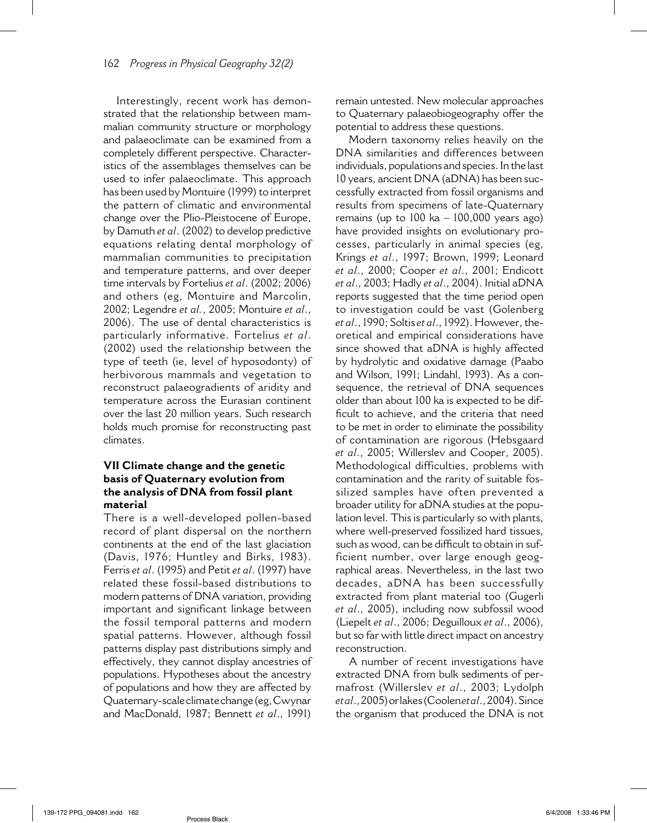Interestingly, recent work has demonstrated that the relationship between mammalian community structure or morphology and palaeoclimate can be examined from a completely different perspective. Characteristics of the assemblages themselves can be used to infer palaeoclimate. This approach has been used by Montuire (1999) to interpret the pattern of climatic and environmental change over the Plio-Pleistocene of Europe, by Damuth *et al*. (2002) to develop predictive equations relating dental morphology of mammalian communities to precipitation and temperature patterns, and over deeper time intervals by Fortelius *et al*. (2002; 2006) and others (eg, Montuire and Marcolin, 2002; Legendre *et al.*, 2005; Montuire *et al*., 2006). The use of dental characteristics is particularly informative. Fortelius *et al*. (2002) used the relationship between the type of teeth (ie, level of hyposodonty) of herbivorous mammals and vegetation to reconstruct palaeogradients of aridity and temperature across the Eurasian continent over the last 20 million years. Such research holds much promise for reconstructing past climates.

### **VII Climate change and the genetic basis of Quaternary evolution from the analysis of DNA from fossil plant material**

There is a well-developed pollen-based record of plant dispersal on the northern continents at the end of the last glaciation (Davis, 1976; Huntley and Birks, 1983). Ferris *et al*. (1995) and Petit *et al*. (1997) have related these fossil-based distributions to modern patterns of DNA variation, providing important and significant linkage between the fossil temporal patterns and modern spatial patterns. However, although fossil patterns display past distributions simply and effectively, they cannot display ancestries of populations. Hypotheses about the ancestry of populations and how they are affected by Quaternary-scale climate change (eg, Cwynar and MacDonald, 1987; Bennett *et al*., 1991) remain untested. New molecular approaches to Quaternary palaeobiogeography offer the potential to address these questions.

Modern taxonomy relies heavily on the DNA similarities and differences between individuals, populations and species. In the last 10 years, ancient DNA (aDNA) has been successfully extracted from fossil organisms and results from specimens of late-Quaternary remains (up to 100 ka – 100,000 years ago) have provided insights on evolutionary processes, particularly in animal species (eg, Krings *et al*., 1997; Brown, 1999; Leonard *et al*., 2000; Cooper *et al*., 2001; Endicott *et al*., 2003; Hadly *et al*., 2004). Initial aDNA reports suggested that the time period open to investigation could be vast (Golenberg *et al*., 1990; Soltis *et al*., 1992). However, theoretical and empirical considerations have since showed that aDNA is highly affected by hydrolytic and oxidative damage (Paabo and Wilson, 1991; Lindahl, 1993). As a consequence, the retrieval of DNA sequences older than about 100 ka is expected to be difficult to achieve, and the criteria that need to be met in order to eliminate the possibility of contamination are rigorous (Hebsgaard *et al*., 2005; Willerslev and Cooper, 2005). Methodological difficulties, problems with contamination and the rarity of suitable fossilized samples have often prevented a broader utility for aDNA studies at the population level. This is particularly so with plants, where well-preserved fossilized hard tissues, such as wood, can be difficult to obtain in sufficient number, over large enough geographical areas. Nevertheless, in the last two decades, aDNA has been successfully extracted from plant material too (Gugerli *et al*., 2005), including now subfossil wood (Liepelt *et al*., 2006; Deguilloux *et al*., 2006), but so far with little direct impact on ancestry reconstruction.

A number of recent investigations have extracted DNA from bulk sediments of permafrost (Willerslev *et al*., 2003; Lydolph *et al*., 2005) or lakes (Coolen *et al*., 2004). Since the organism that produced the DNA is not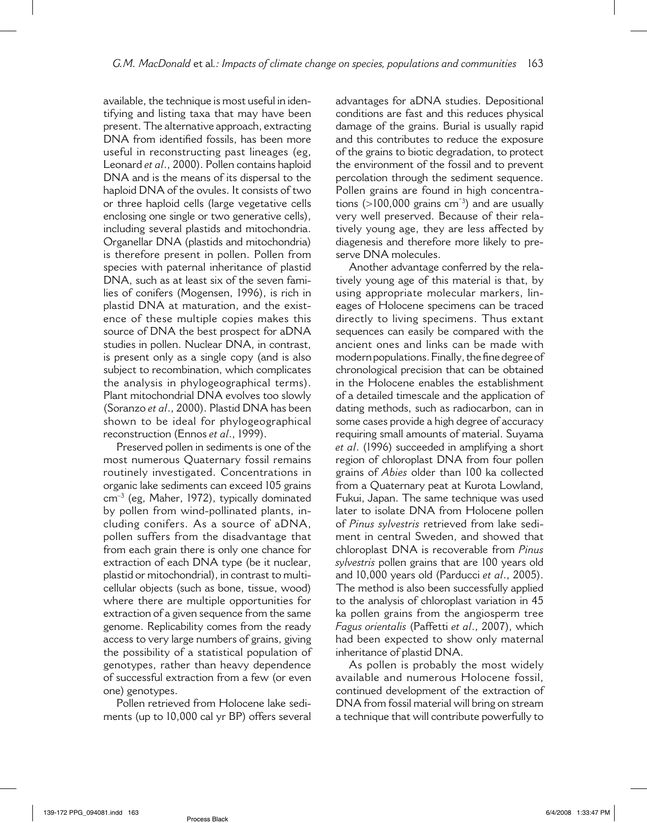available, the technique is most useful in identifying and listing taxa that may have been present. The alternative approach, extracting DNA from identified fossils, has been more useful in reconstructing past lineages (eg, Leonard *et al*., 2000). Pollen contains haploid DNA and is the means of its dispersal to the haploid DNA of the ovules. It consists of two or three haploid cells (large vegetative cells enclosing one single or two generative cells), including several plastids and mitochondria. Organellar DNA (plastids and mitochondria) is therefore present in pollen. Pollen from species with paternal inheritance of plastid DNA, such as at least six of the seven families of conifers (Mogensen, 1996), is rich in plastid DNA at maturation, and the existence of these multiple copies makes this source of DNA the best prospect for aDNA studies in pollen. Nuclear DNA, in contrast, is present only as a single copy (and is also subject to recombination, which complicates the analysis in phylogeographical terms). Plant mitochondrial DNA evolves too slowly (Soranzo *et al*., 2000). Plastid DNA has been shown to be ideal for phylogeographical reconstruction (Ennos *et al*., 1999).

Preserved pollen in sediments is one of the most numerous Quaternary fossil remains routinely investigated. Concentrations in organic lake sediments can exceed 105 grains cm–3 (eg, Maher, 1972), typically dominated by pollen from wind-pollinated plants, including conifers. As a source of aDNA, pollen suffers from the disadvantage that from each grain there is only one chance for extraction of each DNA type (be it nuclear, plastid or mitochondrial), in contrast to multicellular objects (such as bone, tissue, wood) where there are multiple opportunities for extraction of a given sequence from the same genome. Replicability comes from the ready access to very large numbers of grains, giving the possibility of a statistical population of genotypes, rather than heavy dependence of successful extraction from a few (or even one) genotypes.

Pollen retrieved from Holocene lake sediments (up to 10,000 cal yr BP) offers several

advantages for aDNA studies. Depositional conditions are fast and this reduces physical damage of the grains. Burial is usually rapid and this contributes to reduce the exposure of the grains to biotic degradation, to protect the environment of the fossil and to prevent percolation through the sediment sequence. Pollen grains are found in high concentrations  $(>100,000$  grains cm<sup>3</sup>) and are usually very well preserved. Because of their relatively young age, they are less affected by diagenesis and therefore more likely to preserve DNA molecules.

Another advantage conferred by the relatively young age of this material is that, by using appropriate molecular markers, lineages of Holocene specimens can be traced directly to living specimens. Thus extant sequences can easily be compared with the ancient ones and links can be made with modern populations. Finally, the fine degree of chronological precision that can be obtained in the Holocene enables the establishment of a detailed timescale and the application of dating methods, such as radiocarbon, can in some cases provide a high degree of accuracy requiring small amounts of material. Suyama *et al*. (1996) succeeded in amplifying a short region of chloroplast DNA from four pollen grains of *Abies* older than 100 ka collected from a Quaternary peat at Kurota Lowland, Fukui, Japan. The same technique was used later to isolate DNA from Holocene pollen of *Pinus sylvestris* retrieved from lake sediment in central Sweden, and showed that chloroplast DNA is recoverable from *Pinus sylvestris* pollen grains that are 100 years old and 10,000 years old (Parducci *et al*., 2005). The method is also been successfully applied to the analysis of chloroplast variation in 45 ka pollen grains from the angiosperm tree *Fagus orientalis* (Paffetti *et al*., 2007), which had been expected to show only maternal inheritance of plastid DNA.

As pollen is probably the most widely available and numerous Holocene fossil, continued development of the extraction of DNA from fossil material will bring on stream a technique that will contribute powerfully to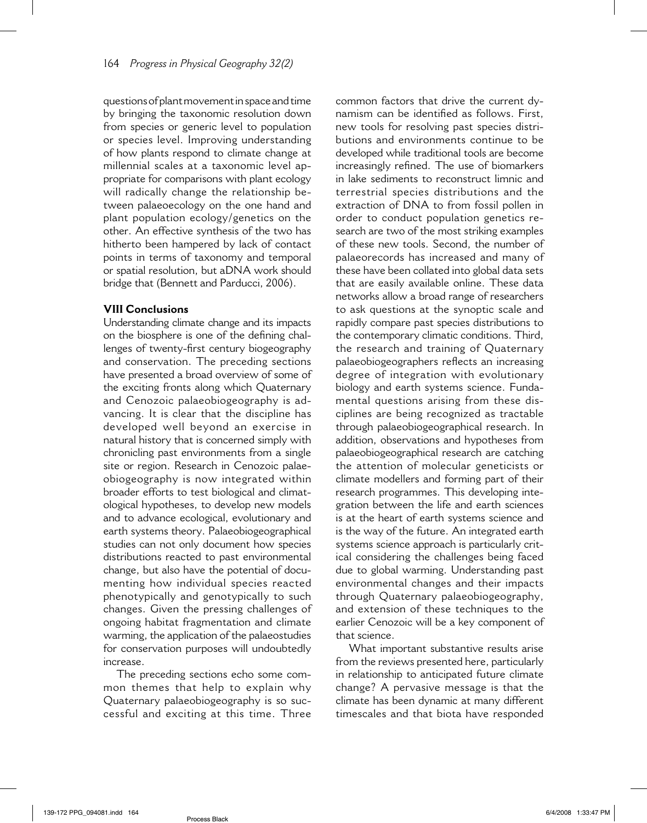questions of plant movement in space and time by bringing the taxonomic resolution down from species or generic level to population or species level. Improving understanding of how plants respond to climate change at millennial scales at a taxonomic level appropriate for comparisons with plant ecology will radically change the relationship between palaeoecology on the one hand and plant population ecology/genetics on the other. An effective synthesis of the two has hitherto been hampered by lack of contact points in terms of taxonomy and temporal or spatial resolution, but aDNA work should bridge that (Bennett and Parducci, 2006).

#### **VIII Conclusions**

Understanding climate change and its impacts on the biosphere is one of the defining challenges of twenty-first century biogeography and conservation. The preceding sections have presented a broad overview of some of the exciting fronts along which Quaternary and Cenozoic palaeobiogeography is advancing. It is clear that the discipline has developed well beyond an exercise in natural history that is concerned simply with chronicling past environments from a single site or region. Research in Cenozoic palaeobiogeography is now integrated within broader efforts to test biological and climatological hypotheses, to develop new models and to advance ecological, evolutionary and earth systems theory. Palaeobiogeographical studies can not only document how species distributions reacted to past environmental change, but also have the potential of documenting how individual species reacted phenotypically and genotypically to such changes. Given the pressing challenges of ongoing habitat fragmentation and climate warming, the application of the palaeostudies for conservation purposes will undoubtedly increase.

The preceding sections echo some common themes that help to explain why Quaternary palaeobiogeography is so successful and exciting at this time. Three common factors that drive the current dynamism can be identified as follows. First, new tools for resolving past species distributions and environments continue to be developed while traditional tools are become increasingly refined. The use of biomarkers in lake sediments to reconstruct limnic and terrestrial species distributions and the extraction of DNA to from fossil pollen in order to conduct population genetics research are two of the most striking examples of these new tools. Second, the number of palaeorecords has increased and many of these have been collated into global data sets that are easily available online. These data networks allow a broad range of researchers to ask questions at the synoptic scale and rapidly compare past species distributions to the contemporary climatic conditions. Third, the research and training of Quaternary palaeobiogeographers reflects an increasing degree of integration with evolutionary biology and earth systems science. Fundamental questions arising from these disciplines are being recognized as tractable through palaeobiogeographical research. In addition, observations and hypotheses from palaeobiogeographical research are catching the attention of molecular geneticists or climate modellers and forming part of their research programmes. This developing integration between the life and earth sciences is at the heart of earth systems science and is the way of the future. An integrated earth systems science approach is particularly critical considering the challenges being faced due to global warming. Understanding past environmental changes and their impacts through Quaternary palaeobiogeography, and extension of these techniques to the earlier Cenozoic will be a key component of that science.

What important substantive results arise from the reviews presented here, particularly in relationship to anticipated future climate change? A pervasive message is that the climate has been dynamic at many different timescales and that biota have responded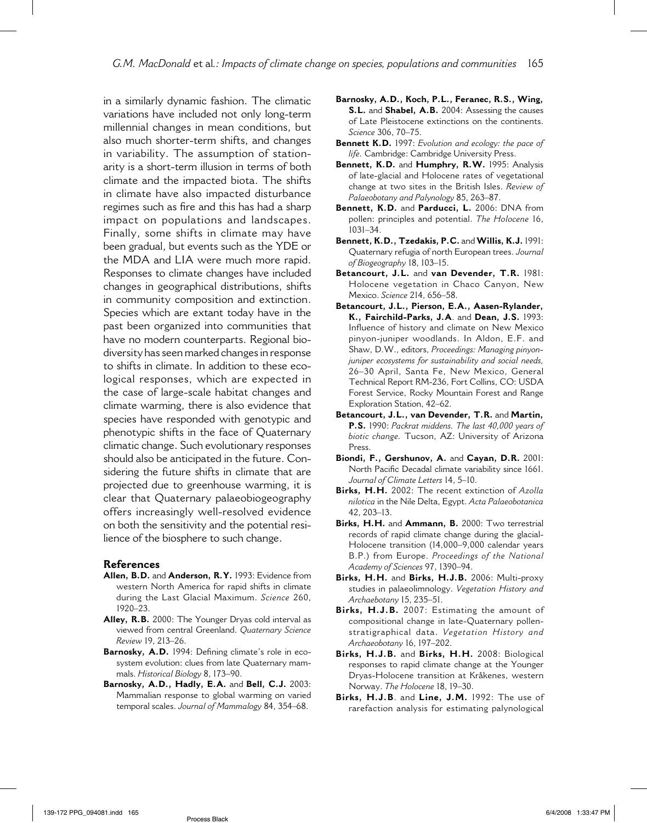in a similarly dynamic fashion. The climatic variations have included not only long-term millennial changes in mean conditions, but also much shorter-term shifts, and changes in variability. The assumption of stationarity is a short-term illusion in terms of both climate and the impacted biota. The shifts in climate have also impacted disturbance regimes such as fire and this has had a sharp impact on populations and landscapes. Finally, some shifts in climate may have been gradual, but events such as the YDE or the MDA and LIA were much more rapid. Responses to climate changes have included changes in geographical distributions, shifts in community composition and extinction. Species which are extant today have in the past been organized into communities that have no modern counterparts. Regional biodiversity has seen marked changes in response to shifts in climate. In addition to these ecological responses, which are expected in the case of large-scale habitat changes and climate warming, there is also evidence that species have responded with genotypic and phenotypic shifts in the face of Quaternary climatic change. Such evolutionary responses should also be anticipated in the future. Considering the future shifts in climate that are projected due to greenhouse warming, it is clear that Quaternary palaeobiogeography offers increasingly well-resolved evidence on both the sensitivity and the potential resilience of the biosphere to such change.

#### **References**

- **Allen, B.D.** and **Anderson, R.Y.** 1993: Evidence from western North America for rapid shifts in climate during the Last Glacial Maximum. *Science* 260, 1920–23.
- **Alley, R.B.** 2000: The Younger Dryas cold interval as viewed from central Greenland. *Quaternary Science Review* 19, 213–26.
- Barnosky, A.D. 1994: Defining climate's role in ecosystem evolution: clues from late Quaternary mammals. *Historical Biology* 8, 173–90.
- **Barnosky, A.D., Hadly, E.A.** and **Bell, C.J.** 2003: Mammalian response to global warming on varied temporal scales. *Journal of Mammalogy* 84, 354–68.
- **Barnosky, A.D., Koch, P.L., Feranec, R.S., Wing, S.L.** and **Shabel, A.B.** 2004: Assessing the causes of Late Pleistocene extinctions on the continents. *Science* 306, 70–75.
- **Bennett K.D.** 1997: *Evolution and ecology: the pace of life.* Cambridge: Cambridge University Press.
- **Bennett, K.D.** and **Humphry, R.W.** 1995: Analysis of late-glacial and Holocene rates of vegetational change at two sites in the British Isles. *Review of Palaeobotany and Palynology* 85, 263–87.
- **Bennett, K.D.** and **Parducci, L.** 2006: DNA from pollen: principles and potential. *The Holocene* 16, 1031–34.
- **Bennett, K.D., Tzedakis, P.C.** and **Willis, K.J.** 1991: Quaternary refugia of north European trees. *Journal of Biogeography* 18, 103–15.
- **Betancourt, J.L.** and **van Devender, T.R.** 1981: Holocene vegetation in Chaco Canyon, New Mexico. *Science* 214, 656–58.
- **Betancourt, J.L., Pierson, E.A., Aasen-Rylander, K., Fairchild-Parks, J.A**. and **Dean, J.S.** 1993: Influence of history and climate on New Mexico pinyon-juniper woodlands. In Aldon, E.F. and Shaw, D.W., editors, *Proceedings: Managing pinyonjuniper ecosystems for sustainability and social needs,* 26–30 April, Santa Fe, New Mexico, General Technical Report RM-236, Fort Collins, CO: USDA Forest Service, Rocky Mountain Forest and Range Exploration Station, 42–62.
- **Betancourt, J.L., van Devender, T.R.** and **Martin, P.S.** 1990: *Packrat middens. The last 40,000 years of biotic change.* Tucson, AZ: University of Arizona Press.
- **Biondi, F., Gershunov, A.** and **Cayan, D.R.** 2001: North Pacific Decadal climate variability since 1661. *Journal of Climate Letters* 14, 5–10.
- **Birks, H.H.** 2002: The recent extinction of *Azolla nilotica* in the Nile Delta, Egypt. *Acta Palaeobotanica*  42, 203–13.
- **Birks, H.H.** and **Ammann, B.** 2000: Two terrestrial records of rapid climate change during the glacial-Holocene transition (14,000–9,000 calendar years B.P.) from Europe. *Proceedings of the National Academy of Sciences* 97, 1390–94.
- **Birks, H.H.** and **Birks, H.J.B.** 2006: Multi-proxy studies in palaeolimnology. *Vegetation History and Archaebotany* 15, 235–51.
- **Birks, H.J.B.** 2007: Estimating the amount of compositional change in late-Quaternary pollenstratigraphical data. *Vegetation History and Archaeobotany* 16, 197–202.
- **Birks, H.J.B.** and **Birks, H.H.** 2008: Biological responses to rapid climate change at the Younger Dryas-Holocene transition at Kråkenes, western Norway. *The Holocene* 18, 19–30.
- **Birks, H.J.B**. and **Line, J.M.** 1992: The use of rarefaction analysis for estimating palynological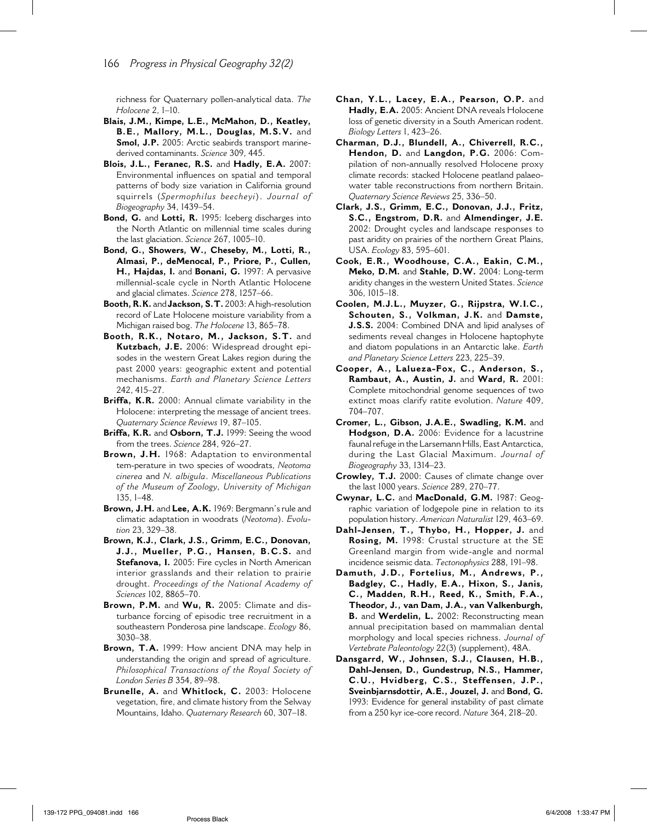richness for Quaternary pollen-analytical data. *The Holocene* 2, 1–10.

- **Blais, J.M., Kimpe, L.E., McMahon, D., Keatley, B.E., Mallory, M.L., Douglas, M.S.V.** and Smol, J.P. 2005: Arctic seabirds transport marinederived contaminants. *Science* 309, 445.
- **Blois, J.L., Feranec, R.S.** and **Hadly, E.A.** 2007: Environmental influences on spatial and temporal patterns of body size variation in California ground squirrels (*Spermophilus beecheyi*). *Journal of Biogeography* 34, 1439–54.
- **Bond, G.** and **Lotti, R.** 1995: Iceberg discharges into the North Atlantic on millennial time scales during the last glaciation. *Science* 267, 1005–10.
- **Bond, G., Showers, W., Cheseby, M., Lotti, R., Almasi, P., deMenocal, P., Priore, P., Cullen, H., Hajdas, I.** and **Bonani, G.** 1997: A pervasive millennial-scale cycle in North Atlantic Holocene and glacial climates. *Science* 278, 1257–66.
- **Booth, R.K.** and **Jackson, S.T.** 2003: A high-resolution record of Late Holocene moisture variability from a Michigan raised bog. *The Holocene* 13, 865–78.
- **Booth, R.K., Notaro, M., Jackson, S.T.** and **Kutzbach, J.E.** 2006: Widespread drought episodes in the western Great Lakes region during the past 2000 years: geographic extent and potential mechanisms. *Earth and Planetary Science Letters* 242, 415–27.
- **Briffa, K.R.** 2000: Annual climate variability in the Holocene: interpreting the message of ancient trees. *Quaternary Science Reviews* 19, 87–105.
- **Briffa, K.R.** and **Osborn, T.J.** 1999: Seeing the wood from the trees. *Science* 284, 926–27.
- **Brown, J.H.** 1968: Adaptation to environmental tem-perature in two species of woodrats, *Neotoma cinerea* and *N. albigula*. *Miscellaneous Publications of the Museum of Zoology, University of Michigan*  135, 1–48.
- **Brown, J.H.** and **Lee, A.K.** 1969: Bergmann's rule and climatic adaptation in woodrats (*Neotoma*). *Evolution* 23, 329–38.
- **Brown, K.J., Clark, J.S., Grimm, E.C., Donovan, J.J., Mueller, P.G., Hansen, B.C.S.** and **Stefanova, I.** 2005: Fire cycles in North American interior grasslands and their relation to prairie drought. *Proceedings of the National Academy of Sciences* 102, 8865–70.
- **Brown, P.M.** and **Wu, R.** 2005: Climate and disturbance forcing of episodic tree recruitment in a southeastern Ponderosa pine landscape. *Ecology* 86, 3030–38.
- **Brown, T.A.** 1999: How ancient DNA may help in understanding the origin and spread of agriculture. *Philosophical Transactions of the Royal Society of London Series B* 354, 89–98.
- **Brunelle, A.** and **Whitlock, C.** 2003: Holocene vegetation, fire, and climate history from the Selway Mountains, Idaho. *Quaternary Research* 60, 307–18.
- **Chan, Y.L., Lacey, E.A., Pearson, O.P.** and **Hadly, E.A.** 2005: Ancient DNA reveals Holocene loss of genetic diversity in a South American rodent. *Biology Letters* 1, 423–26.
- **Charman, D.J., Blundell, A., Chiverrell, R.C., Hendon, D.** and **Langdon, P.G.** 2006: Compilation of non-annually resolved Holocene proxy climate records: stacked Holocene peatland palaeowater table reconstructions from northern Britain. *Quaternary Science Reviews* 25, 336–50.
- **Clark, J.S., Grimm, E.C., Donovan, J.J., Fritz, S.C., Engstrom, D.R.** and **Almendinger, J.E.**  2002: Drought cycles and landscape responses to past aridity on prairies of the northern Great Plains, USA. *Ecology* 83, 595–601.
- **Cook, E.R., Woodhouse, C.A., Eakin, C.M., Meko, D.M.** and **Stahle, D.W.** 2004: Long-term aridity changes in the western United States. *Science*  306, 1015–18.
- **Coolen, M.J.L., Muyzer, G., Rijpstra, W.I.C., Schouten, S., Volkman, J.K.** and **Damste, J.S.S.** 2004: Combined DNA and lipid analyses of sediments reveal changes in Holocene haptophyte and diatom populations in an Antarctic lake. *Earth and Planetary Science Letters* 223, 225–39.
- **Cooper, A., Lalueza-Fox, C., Anderson, S., Rambaut, A., Austin, J.** and **Ward, R.** 2001: Complete mitochondrial genome sequences of two extinct moas clarify ratite evolution. *Nature* 409, 704–707.
- **Cromer, L., Gibson, J.A.E., Swadling, K.M.** and **Hodgson, D.A.** 2006: Evidence for a lacustrine faunal refuge in the Larsemann Hills, East Antarctica, during the Last Glacial Maximum. *Journal of Biogeography* 33, 1314–23.
- **Crowley, T.J.** 2000: Causes of climate change over the last 1000 years. *Science* 289, 270–77.
- **Cwynar, L.C.** and **MacDonald, G.M.** 1987: Geographic variation of lodgepole pine in relation to its population history. *American Naturalist* 129, 463–69.
- **Dahl-Jensen, T., Thybo, H., Hopper, J.** and **Rosing, M.** 1998: Crustal structure at the SE Greenland margin from wide-angle and normal incidence seismic data. *Tectonophysics* 288, 191–98.
- **Damuth, J.D., Fortelius, M., Andrews, P., Badgley, C., Hadly, E.A., Hixon, S., Janis, C., Madden, R.H., Reed, K., Smith, F.A., Theodor, J., van Dam, J.A., van Valkenburgh, B.** and **Werdelin, L.** 2002: Reconstructing mean annual precipitation based on mammalian dental morphology and local species richness. *Journal of Vertebrate Paleontology* 22(3) (supplement), 48A.
- **Dansgarrd, W., Johnsen, S.J., Clausen, H.B., Dahl-Jensen, D., Gundestrup, N.S., Hammer, C.U., Hvidberg, C.S., Steffensen, J.P., Sveinbjarnsdottir, A.E., Jouzel, J.** and **Bond, G.**  1993: Evidence for general instability of past climate from a 250 kyr ice-core record. *Nature* 364, 218–20.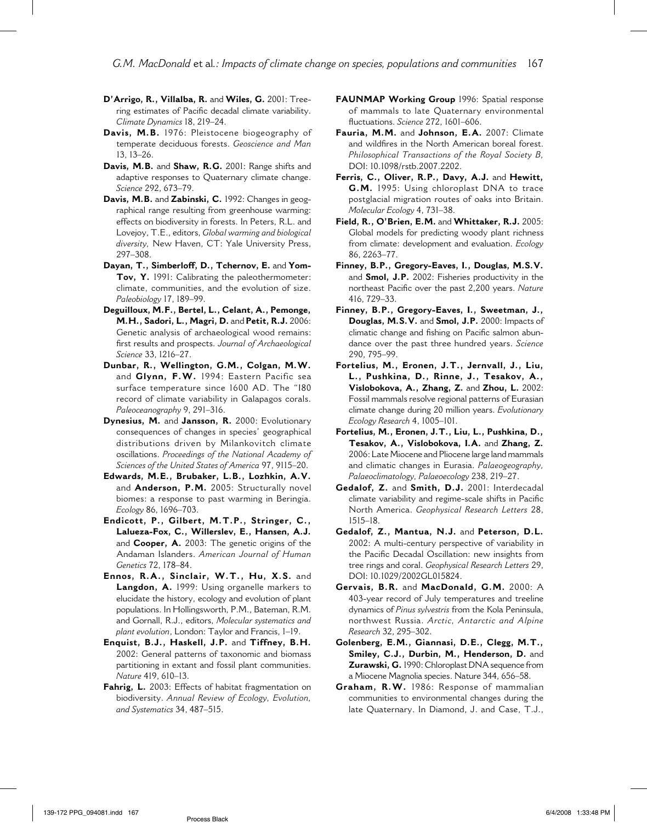*G.M. MacDonald* et al*.: Impacts of climate change on species, populations and communities* 167

- **D'Arrigo, R., Villalba, R.** and **Wiles, G.** 2001: Treering estimates of Pacific decadal climate variability. *Climate Dynamics* 18, 219–24.
- **Davis, M.B.** 1976: Pleistocene biogeography of temperate deciduous forests. *Geoscience and Man* 13, 13–26.
- **Davis, M.B.** and **Shaw, R.G.** 2001: Range shifts and adaptive responses to Quaternary climate change. *Science* 292, 673–79.
- **Davis, M.B.** and **Zabinski, C.** 1992: Changes in geographical range resulting from greenhouse warming: effects on biodiversity in forests. In Peters, R.L. and Lovejoy, T.E., editors, *Global warming and biological diversity,* New Haven, CT: Yale University Press, 297–308.
- **Dayan, T., Simberloff, D., Tchernov, E.** and **Yom-Tov, Y.** 1991: Calibrating the paleothermometer: climate, communities, and the evolution of size. *Paleobiology* 17, 189–99.
- **Deguilloux, M.F., Bertel, L., Celant, A., Pemonge, M.H., Sadori, L., Magri, D.** and **Petit, R.J.** 2006: Genetic analysis of archaeological wood remains: first results and prospects. Journal of Archaeological *Science* 33, 1216–27.
- **Dunbar, R., Wellington, G.M., Colgan, M.W.** and **Glynn, F.W.** 1994: Eastern Pacific sea surface temperature since 1600 AD. The "I80 record of climate variability in Galapagos corals. *Paleoceanography* 9, 291–316.
- **Dynesius, M.** and **Jansson, R.** 2000: Evolutionary consequences of changes in species' geographical distributions driven by Milankovitch climate oscillations. *Proceedings of the National Academy of Sciences of the United States of America* 97, 9115–20.
- **Edwards, M.E., Brubaker, L.B., Lozhkin, A.V.** and **Anderson, P.M.** 2005: Structurally novel biomes: a response to past warming in Beringia. *Ecology* 86, 1696–703.
- **Endicott, P., Gilbert, M.T.P., Stringer, C., Lalueza-Fox, C., Willerslev, E., Hansen, A.J.** and **Cooper, A.** 2003: The genetic origins of the Andaman Islanders. *American Journal of Human Genetics* 72, 178–84.
- **Ennos, R.A., Sinclair, W.T., Hu, X.S.** and **Langdon, A.** 1999: Using organelle markers to elucidate the history, ecology and evolution of plant populations. In Hollingsworth, P.M., Bateman, R.M. and Gornall, R.J., editors, *Molecular systematics and plant evolution*, London: Taylor and Francis, 1–19.
- **Enquist, B.J., Haskell, J.P.** and **Tiffney, B.H.** 2002: General patterns of taxonomic and biomass partitioning in extant and fossil plant communities. *Nature* 419, 610–13.
- Fahrig, L. 2003: Effects of habitat fragmentation on biodiversity. *Annual Review of Ecology, Evolution, and Systematics* 34, 487–515.
- **FAUNMAP Working Group** 1996: Spatial response of mammals to late Quaternary environmental fl uctuations. *Science* 272, 1601–606.
- **Fauria, M.M.** and **Johnson, E.A.** 2007: Climate and wildfires in the North American boreal forest. *Philosophical Transactions of the Royal Society B,* DOI: 10.1098/rstb.2007.2202.
- **Ferris, C., Oliver, R.P., Davy, A.J.** and **Hewitt, G.M.** 1995: Using chloroplast DNA to trace postglacial migration routes of oaks into Britain. *Molecular Ecology* 4, 731–38.
- **Field, R., O'Brien, E.M.** and **Whittaker, R.J.** 2005: Global models for predicting woody plant richness from climate: development and evaluation. *Ecology* 86, 2263–77.
- **Finney, B.P., Gregory-Eaves, I., Douglas, M.S.V.** and **Smol, J.P.** 2002: Fisheries productivity in the northeast Pacific over the past 2,200 years. *Nature* 416, 729–33.
- **Finney, B.P., Gregory-Eaves, I., Sweetman, J., Douglas, M.S.V.** and **Smol, J.P.** 2000: Impacts of climatic change and fishing on Pacific salmon abundance over the past three hundred years. *Science* 290, 795–99.
- **Fortelius, M., Eronen, J.T., Jernvall, J., Liu, L., Pushkina, D., Rinne, J., Tesakov, A., Vislobokova, A., Zhang, Z.** and **Zhou, L.** 2002: Fossil mammals resolve regional patterns of Eurasian climate change during 20 million years. *Evolutionary Ecology Research* 4, 1005–101.
- **Fortelius, M., Eronen, J.T., Liu, L., Pushkina, D., Tesakov, A., Vislobokova, I.A.** and **Zhang, Z.** 2006: Late Miocene and Pliocene large land mammals and climatic changes in Eurasia. *Palaeogeography, Palaeoclimatology, Palaeoecology* 238, 219–27.
- **Gedalof, Z.** and **Smith, D.J.** 2001: Interdecadal climate variability and regime-scale shifts in Pacific North America. *Geophysical Research Letters* 28, 1515–18.
- **Gedalof, Z., Mantua, N.J.** and **Peterson, D.L.** 2002: A multi-century perspective of variability in the Pacific Decadal Oscillation: new insights from tree rings and coral. *Geophysical Research Letters* 29, DOI: 10.1029/2002GL015824.
- **Gervais, B.R.** and **MacDonald, G.M.** 2000: A 403-year record of July temperatures and treeline dynamics of *Pinus sylvestris* from the Kola Peninsula, northwest Russia. *Arctic, Antarctic and Alpine Research* 32, 295–302.
- **Golenberg, E.M., Giannasi, D.E., Clegg, M.T., Smiley, C.J., Durbin, M., Henderson, D.** and **Zurawski, G.** 1990: Chloroplast DNA sequence from a Miocene Magnolia species. Nature 344, 656–58.
- **Graham, R.W.** 1986: Response of mammalian communities to environmental changes during the late Quaternary. In Diamond, J. and Case, T.J.,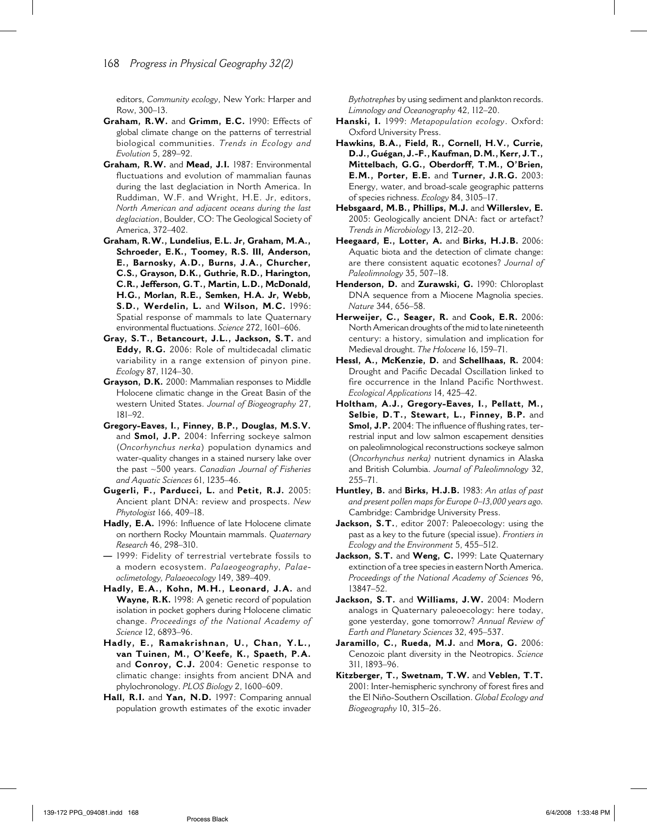editors, *Community ecology*, New York: Harper and Row, 300–13.

- **Graham, R.W.** and **Grimm, E.C.** 1990: Effects of global climate change on the patterns of terrestrial biological communities. *Trends in Ecology and Evolution* 5, 289–92.
- **Graham, R.W.** and **Mead, J.I.** 1987: Environmental fluctuations and evolution of mammalian faunas during the last deglaciation in North America. In Ruddiman, W.F. and Wright, H.E. Jr, editors, *North American and adjacent oceans during the last deglaciation*, Boulder, CO: The Geological Society of America, 372–402.
- **Graham, R.W., Lundelius, E.L. Jr, Graham, M.A., Schroeder, E.K., Toomey, R.S. III, Anderson, E., Barnosky, A.D., Burns, J.A., Churcher, C.S., Grayson, D.K., Guthrie, R.D., Harington, C.R., Jefferson, G.T., Martin, L.D., McDonald, H.G., Morlan, R.E., Semken, H.A. Jr, Webb, S.D., Werdelin, L.** and **Wilson, M.C.** 1996: Spatial response of mammals to late Quaternary environmental fluctuations. *Science* 272, 1601-606.
- **Gray, S.T., Betancourt, J.L., Jackson, S.T.** and **Eddy, R.G.** 2006: Role of multidecadal climatic variability in a range extension of pinyon pine. *Ecolog*y 87, 1124–30.
- **Grayson, D.K.** 2000: Mammalian responses to Middle Holocene climatic change in the Great Basin of the western United States. *Journal of Biogeography* 27, 181–92.
- **Gregory-Eaves, I., Finney, B.P., Douglas, M.S.V.** and **Smol, J.P.** 2004: Inferring sockeye salmon (*Oncorhynchus nerka*) population dynamics and water-quality changes in a stained nursery lake over the past ~500 years. *Canadian Journal of Fisheries and Aquatic Sciences* 61, 1235–46.
- **Gugerli, F., Parducci, L.** and **Petit, R.J.** 2005: Ancient plant DNA: review and prospects. *New Phytologist* 166, 409–18.
- Hadly, E.A. 1996: Influence of late Holocene climate on northern Rocky Mountain mammals. *Quaternary Research* 46, 298–310.
- **—** 1999: Fidelity of terrestrial vertebrate fossils to a modern ecosystem. *Palaeogeography, Palaeoclimetology, Palaeoecology* 149, 389–409.
- **Hadly, E.A., Kohn, M.H., Leonard, J.A.** and **Wayne, R.K.** 1998: A genetic record of population isolation in pocket gophers during Holocene climatic change. *Proceedings of the National Academy of Science* 12, 6893–96.
- **Hadly, E., Ramakrishnan, U., Chan, Y.L., van Tuinen, M., O'Keefe, K., Spaeth, P.A.** and **Conroy, C.J.** 2004: Genetic response to climatic change: insights from ancient DNA and phylochronology. *PLOS Biology* 2, 1600–609.
- **Hall, R.I.** and **Yan, N.D.** 1997: Comparing annual population growth estimates of the exotic invader

*Bythotrephes* by using sediment and plankton records. *Limnology and Oceanography* 42, 112–20.

- **Hanski, I.** 1999: *Metapopulation ecology*. Oxford: Oxford University Press.
- **Hawkins, B.A., Field, R., Cornell, H.V., Currie, D.J., Guégan, J.-F., Kaufman, D.M., Kerr, J.T., Mittelbach, G.G., Oberdorff, T.M., O'Brien, E.M., Porter, E.E.** and **Turner, J.R.G.** 2003: Energy, water, and broad-scale geographic patterns of species richness. *Ecology* 84, 3105–17.
- **Hebsgaard, M.B., Phillips, M.J.** and **Willerslev, E.**  2005: Geologically ancient DNA: fact or artefact? *Trends in Microbiology* 13, 212–20.
- **Heegaard, E., Lotter, A.** and **Birks, H.J.B.** 2006: Aquatic biota and the detection of climate change: are there consistent aquatic ecotones? *Journal of Paleolimnology* 35, 507–18.
- **Henderson, D.** and **Zurawski, G.** 1990: Chloroplast DNA sequence from a Miocene Magnolia species. *Nature* 344, 656–58.
- **Herweijer, C., Seager, R.** and **Cook, E.R.** 2006: North American droughts of the mid to late nineteenth century: a history, simulation and implication for Medieval drought. *The Holocene* 16, 159–71.
- **Hessl, A., McKenzie, D.** and **Schellhaas, R.** 2004: Drought and Pacific Decadal Oscillation linked to fire occurrence in the Inland Pacific Northwest. *Ecological Applications* 14, 425–42.
- **Holtham, A.J., Gregory-Eaves, I., Pellatt, M., Selbie, D.T., Stewart, L., Finney, B.P.** and **Smol, J.P.** 2004: The influence of flushing rates, terrestrial input and low salmon escapement densities on paleolimnological reconstructions sockeye salmon (*Oncorhynchus nerka)* nutrient dynamics in Alaska and British Columbia. *Journal of Paleolimnology* 32, 255–71.
- **Huntley, B.** and **Birks, H.J.B.** 1983: *An atlas of past and present pollen maps for Europe 0–13,000 years ago.*  Cambridge: Cambridge University Press.
- Jackson, S.T., editor 2007: Paleoecology: using the past as a key to the future (special issue). *Frontiers in Ecology and the Environment* 5, 455–512.
- **Jackson, S.T.** and **Weng, C.** 1999: Late Quaternary extinction of a tree species in eastern North America. *Proceedings of the National Academy of Sciences* 96, 13847–52.
- **Jackson, S.T.** and **Williams, J.W.** 2004: Modern analogs in Quaternary paleoecology: here today, gone yesterday, gone tomorrow? *Annual Review of Earth and Planetary Sciences* 32, 495–537.
- **Jaramillo, C., Rueda, M.J.** and **Mora, G.** 2006: Cenozoic plant diversity in the Neotropics. *Science* 311, 1893–96.
- **Kitzberger, T., Swetnam, T.W.** and **Veblen, T.T.** 2001: Inter-hemispheric synchrony of forest fires and the El Niño-Southern Oscillation. *Global Ecology and Biogeography* 10, 315–26.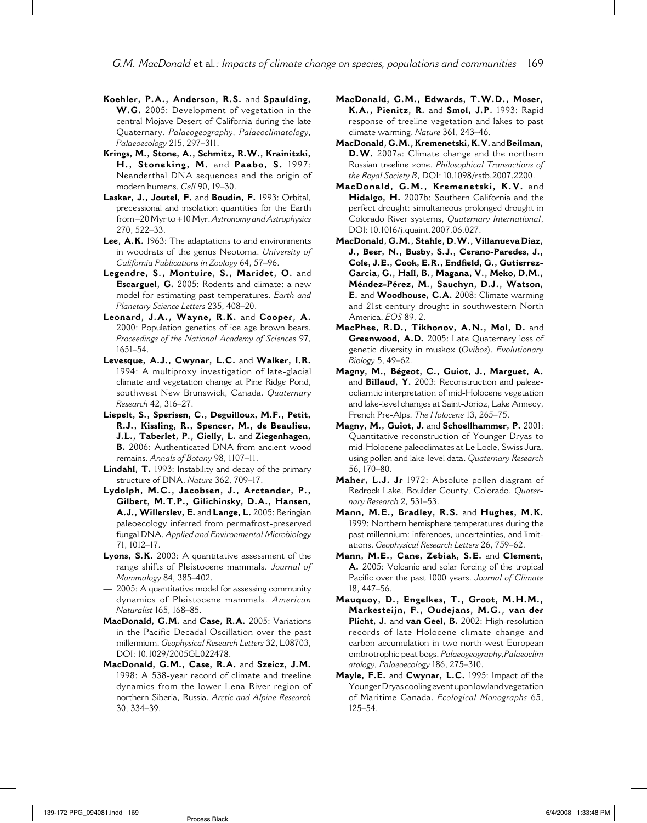*G.M. MacDonald* et al*.: Impacts of climate change on species, populations and communities* 169

- **Koehler, P.A., Anderson, R.S.** and **Spaulding, W.G.** 2005: Development of vegetation in the central Mojave Desert of California during the late Quaternary. *Palaeogeography, Palaeoclimatology, Palaeoecology* 215, 297–311.
- **Krings, M., Stone, A., Schmitz, R.W., Krainitzki, H., Stoneking, M.** and **Paabo, S.** 1997: Neanderthal DNA sequences and the origin of modern humans. *Cell* 90, 19–30.
- **Laskar, J., Joutel, F.** and **Boudin, F.** 1993: Orbital, precessional and insolation quantities for the Earth from –20 Myr to +10 Myr. *Astronomy and Astrophysics* 270, 522–33.
- Lee, A.K. 1963: The adaptations to arid environments in woodrats of the genus Neotoma. *University of California Publications in Zoology* 64, 57–96.
- **Legendre, S., Montuire, S., Maridet, O.** and **Escarguel, G.** 2005: Rodents and climate: a new model for estimating past temperatures. *Earth and Planetary Science Letters* 235, 408–20.
- **Leonard, J.A., Wayne, R.K.** and **Cooper, A.** 2000: Population genetics of ice age brown bears. *Proceedings of the National Academy of Science*s 97, 1651–54.
- **Levesque, A.J., Cwynar, L.C.** and **Walker, I.R.** 1994: A multiproxy investigation of late-glacial climate and vegetation change at Pine Ridge Pond, southwest New Brunswick, Canada. *Quaternary Research* 42, 316–27.
- **Liepelt, S., Sperisen, C., Deguilloux, M.F., Petit, R.J., Kissling, R., Spencer, M., de Beaulieu, J.L., Taberlet, P., Gielly, L.** and **Ziegenhagen, B.** 2006: Authenticated DNA from ancient wood remains. *Annals of Botany* 98, 1107–11.
- **Lindahl, T.** 1993: Instability and decay of the primary structure of DNA. *Nature* 362, 709–17.
- **Lydolph, M.C., Jacobsen, J., Arctander, P., Gilbert, M.T.P., Gilichinsky, D.A., Hansen, A.J., Willerslev, E.** and **Lange, L.** 2005: Beringian paleoecology inferred from permafrost-preserved fungal DNA. *Applied and Environmental Microbiology* 71, 1012–17.
- **Lyons, S.K.** 2003: A quantitative assessment of the range shifts of Pleistocene mammals. *Journal of Mammalogy* 84, 385–402.
- **—** 2005: A quantitative model for assessing community dynamics of Pleistocene mammals. *American Naturalist* 165, 168–85.
- **MacDonald, G.M.** and **Case, R.A.** 2005: Variations in the Pacific Decadal Oscillation over the past millennium. *Geophysical Research Letters* 32, L08703, DOI: 10.1029/2005GL022478.
- **MacDonald, G.M., Case, R.A.** and **Szeicz, J.M.** 1998: A 538-year record of climate and treeline dynamics from the lower Lena River region of northern Siberia, Russia. *Arctic and Alpine Research* 30, 334–39.
- **MacDonald, G.M., Edwards, T.W.D., Moser, K.A., Pienitz, R.** and **Smol, J.P.** 1993: Rapid response of treeline vegetation and lakes to past climate warming. *Nature* 361, 243–46.
- **MacDonald, G.M., Kremenetski, K.V.** and **Beilman, D.W.** 2007a: Climate change and the northern Russian treeline zone. *Philosophical Transactions of the Royal Society B*, DOI: 10.1098/rstb.2007.2200.
- **MacDonald, G.M., Kremenetski, K.V.** and **Hidalgo, H.** 2007b: Southern California and the perfect drought: simultaneous prolonged drought in Colorado River systems, *Quaternary International*, DOI: 10.1016/j.quaint.2007.06.027.
- **MacDonald, G.M., Stahle, D.W., Villanueva Diaz, J., Beer, N., Busby, S.J., Cerano-Paredes, J.,**  Cole, J.E., Cook, E.R., Endfield, G., Gutierrez-**Garcia, G., Hall, B., Magana, V., Meko, D.M., Méndez-Pérez, M., Sauchyn, D.J., Watson, E.** and **Woodhouse, C.A.** 2008: Climate warming and 21st century drought in southwestern North America. *EOS* 89, 2.
- **MacPhee, R.D., Tikhonov, A.N., Mol, D.** and **Greenwood, A.D.** 2005: Late Quaternary loss of genetic diversity in muskox (*Ovibos*). *Evolutionary Biology* 5, 49–62.
- **Magny, M., Bégeot, C., Guiot, J., Marguet, A.** and **Billaud, Y.** 2003: Reconstruction and paleaeocliamtic interpretation of mid-Holocene vegetation and lake-level changes at Saint-Jorioz, Lake Annecy, French Pre-Alps. *The Holocene* 13, 265–75.
- **Magny, M., Guiot, J.** and **Schoellhammer, P.** 2001: Quantitative reconstruction of Younger Dryas to mid-Holocene paleoclimates at Le Locle, Swiss Jura, using pollen and lake-level data. *Quaternary Research* 56, 170–80.
- **Maher, L.J. Jr** 1972: Absolute pollen diagram of Redrock Lake, Boulder County, Colorado. *Quaternary Research* 2, 531–53.
- **Mann, M.E., Bradley, R.S.** and **Hughes, M.K.** 1999: Northern hemisphere temperatures during the past millennium: inferences, uncertainties, and limitations. *Geophysical Research Letters* 26, 759–62.
- **Mann, M.E., Cane, Zebiak, S.E.** and **Clement, A.** 2005: Volcanic and solar forcing of the tropical Pacific over the past 1000 years. *Journal of Climate* 18, 447–56.
- **Mauquoy, D., Engelkes, T., Groot, M.H.M., Markesteijn, F., Oudejans, M.G., van der Plicht, J.** and **van Geel, B.** 2002: High-resolution records of late Holocene climate change and carbon accumulation in two north-west European ombrotrophic peat bogs. *Palaeogeography,Palaeoclim atology, Palaeoecology* 186, 275–310.
- **Mayle, F.E.** and **Cwynar, L.C.** 1995: Impact of the Younger Dryas cooling event upon lowland vegetation of Maritime Canada. *Ecological Monographs* 65, 125–54.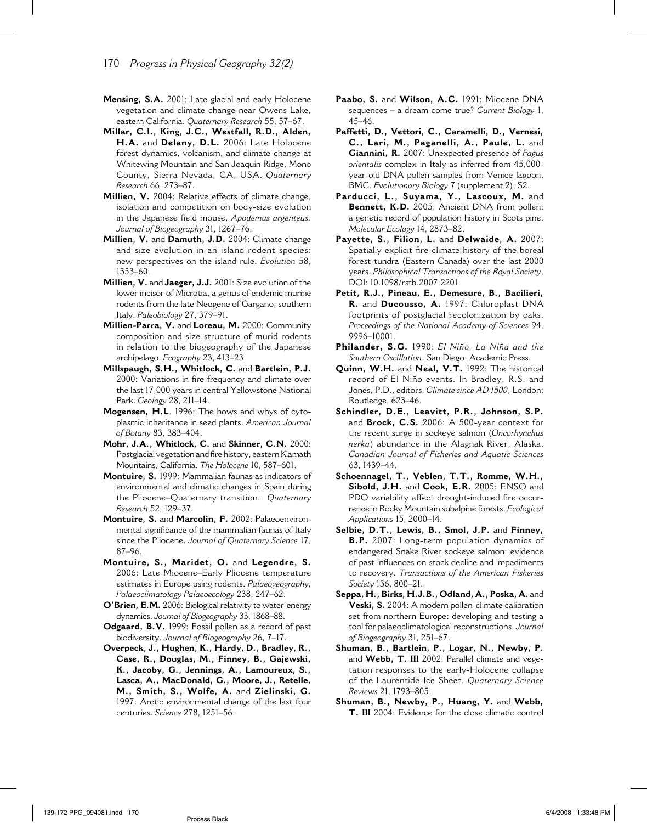- 170 *Progress in Physical Geography 32(2)*
- **Mensing, S.A.** 2001: Late-glacial and early Holocene vegetation and climate change near Owens Lake, eastern California. *Quaternary Research* 55, 57–67.
- **Millar, C.I., King, J.C., Westfall, R.D., Alden, H.A.** and **Delany, D.L.** 2006: Late Holocene forest dynamics, volcanism, and climate change at Whitewing Mountain and San Joaquin Ridge, Mono County, Sierra Nevada, CA, USA. *Quaternary Research* 66, 273–87.
- **Millien, V.** 2004: Relative effects of climate change, isolation and competition on body-size evolution in the Japanese field mouse, *Apodemus argenteus*. *Journal of Biogeography* 31, 1267–76.
- **Millien, V.** and **Damuth, J.D.** 2004: Climate change and size evolution in an island rodent species: new perspectives on the island rule. *Evolution* 58, 1353–60.
- **Millien, V.** and **Jaeger, J.J.** 2001: Size evolution of the lower incisor of Microtia, a genus of endemic murine rodents from the late Neogene of Gargano, southern Italy. *Paleobiology* 27, 379–91.
- **Millien-Parra, V.** and **Loreau, M.** 2000: Community composition and size structure of murid rodents in relation to the biogeography of the Japanese archipelago. *Ecography* 23, 413–23.
- **Millspaugh, S.H., Whitlock, C.** and **Bartlein, P.J.** 2000: Variations in fire frequency and climate over the last 17,000 years in central Yellowstone National Park. *Geology* 28, 211–14.
- **Mogensen, H.L**. 1996: The hows and whys of cytoplasmic inheritance in seed plants. *American Journal of Botany* 83, 383–404.
- **Mohr, J.A., Whitlock, C.** and **Skinner, C.N.** 2000: Postglacial vegetation and fire history, eastern Klamath Mountains, California. *The Holocene* 10, 587–601.
- **Montuire, S.** 1999: Mammalian faunas as indicators of environmental and climatic changes in Spain during the Pliocene–Quaternary transition. *Quaternary Research* 52, 129–37.
- **Montuire, S.** and **Marcolin, F.** 2002: Palaeoenvironmental significance of the mammalian faunas of Italy since the Pliocene. *Journal of Quaternary Science* 17, 87–96.
- **Montuire, S., Maridet, O.** and **Legendre, S.** 2006: Late Miocene–Early Pliocene temperature estimates in Europe using rodents. *Palaeogeography, Palaeoclimatology Palaeoecology* 238, 247–62.
- **O'Brien, E.M.** 2006: Biological relativity to water-energy dynamics. *Journal of Biogeography* 33, 1868–88.
- **Odgaard, B.V.** 1999: Fossil pollen as a record of past biodiversity. *Journal of Biogeography* 26, 7–17.
- **Overpeck, J., Hughen, K., Hardy, D., Bradley, R., Case, R., Douglas, M., Finney, B., Gajewski, K., Jacoby, G., Jennings, A., Lamoureux, S., Lasca, A., MacDonald, G., Moore, J., Retelle, M., Smith, S., Wolfe, A.** and **Zielinski, G.** 1997: Arctic environmental change of the last four centuries. *Science* 278, 1251–56.
- **Paabo, S.** and **Wilson, A.C.** 1991: Miocene DNA sequences – a dream come true? *Current Biology* 1, 45–46.
- **Paffetti, D., Vettori, C., Caramelli, D., Vernesi, C., Lari, M., Paganelli, A., Paule, L.** and **Giannini, R.** 2007: Unexpected presence of *Fagus orientalis* complex in Italy as inferred from 45,000 year-old DNA pollen samples from Venice lagoon. BMC. *Evolutionary Biology* 7 (supplement 2), S2.
- **Parducci, L., Suyama, Y., Lascoux, M.** and **Bennett, K.D.** 2005: Ancient DNA from pollen: a genetic record of population history in Scots pine. *Molecular Ecology* 14, 2873–82.
- **Payette, S., Filion, L.** and **Delwaide, A.** 2007: Spatially explicit fire-climate history of the boreal forest-tundra (Eastern Canada) over the last 2000 years. *Philosophical Transactions of the Royal Society*, DOI: 10.1098/rstb.2007.2201.
- **Petit, R.J., Pineau, E., Demesure, B., Bacilieri, R.** and **Ducousso, A.** 1997: Chloroplast DNA footprints of postglacial recolonization by oaks. *Proceedings of the National Academy of Sciences* 94, 9996–10001.
- **Philander, S.G.** 1990: *El Niño, La Niña and the Southern Oscillation*. San Diego: Academic Press.
- **Quinn, W.H.** and **Neal, V.T.** 1992: The historical record of El Niño events. In Bradley, R.S. and Jones, P.D., editors, *Climate since AD 1500*, London: Routledge, 623–46.
- **Schindler, D.E., Leavitt, P.R., Johnson, S.P.** and **Brock, C.S.** 2006: A 500-year context for the recent surge in sockeye salmon (*Oncorhynchus nerka*) abundance in the Alagnak River, Alaska. *Canadian Journal of Fisheries and Aquatic Sciences* 63, 1439–44.
- **Schoennagel, T., Veblen, T.T., Romme, W.H., Sibold, J.H.** and **Cook, E.R.** 2005: ENSO and PDO variability affect drought-induced fire occurrence in Rocky Mountain subalpine forests. *Ecological Applications* 15, 2000–14.
- **Selbie, D.T., Lewis, B., Smol, J.P.** and **Finney, B.P.** 2007: Long-term population dynamics of endangered Snake River sockeye salmon: evidence of past influences on stock decline and impediments to recovery. *Transactions of the American Fisheries Society* 136, 800–21.
- **Seppa, H., Birks, H.J.B., Odland, A., Poska, A.** and **Veski, S.** 2004: A modern pollen-climate calibration set from northern Europe: developing and testing a tool for palaeoclimatological reconstructions. *Journal of Biogeography* 31, 251–67.
- **Shuman, B., Bartlein, P., Logar, N., Newby, P.** and **Webb, T. III** 2002: Parallel climate and vegetation responses to the early-Holocene collapse of the Laurentide Ice Sheet. *Quaternary Science Reviews* 21, 1793–805.
- **Shuman, B., Newby, P., Huang, Y.** and **Webb, T. III** 2004: Evidence for the close climatic control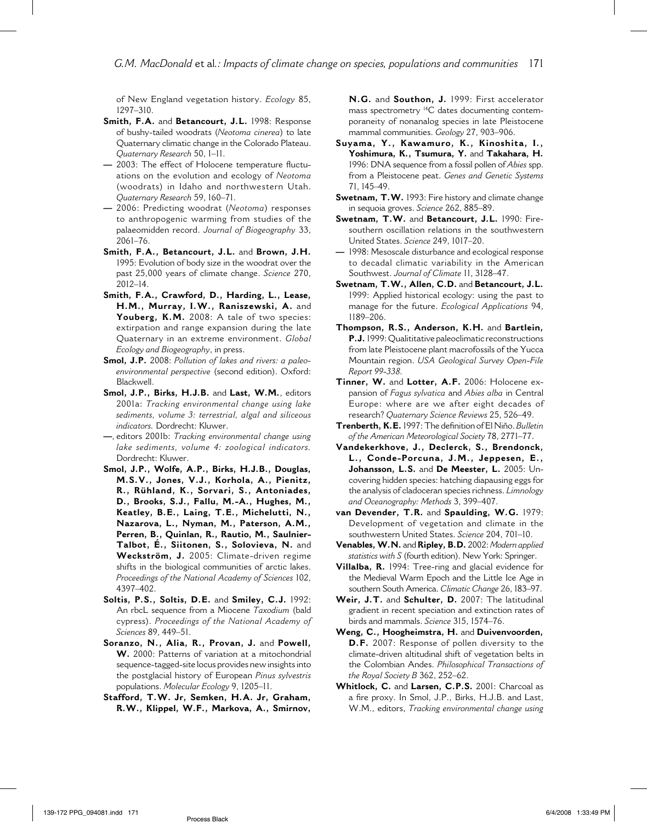*G.M. MacDonald* et al*.: Impacts of climate change on species, populations and communities* 171

of New England vegetation history. *Ecology* 85, 1297–310.

- **Smith, F.A.** and **Betancourt, J.L.** 1998: Response of bushy-tailed woodrats (*Neotoma cinerea*) to late Quaternary climatic change in the Colorado Plateau. *Quaternary Research* 50, 1–11.
- **-** 2003: The effect of Holocene temperature fluctuations on the evolution and ecology of *Neotoma* (woodrats) in Idaho and northwestern Utah. *Quaternary Research* 59, 160–71.
- **—** 2006: Predicting woodrat (*Neotoma*) responses to anthropogenic warming from studies of the palaeomidden record. *Journal of Biogeography* 33, 2061–76.
- **Smith, F.A., Betancourt, J.L.** and **Brown, J.H.**  1995: Evolution of body size in the woodrat over the past 25,000 years of climate change. *Science* 270, 2012–14.
- **Smith, F.A., Crawford, D., Harding, L., Lease, H.M., Murray, I.W., Raniszewski, A.** and **Youberg, K.M.** 2008: A tale of two species: extirpation and range expansion during the late Quaternary in an extreme environment. *Global Ecology and Biogeography*, in press.
- **Smol, J.P.** 2008: *Pollution of lakes and rivers: a paleoenvironmental perspective* (second edition). Oxford: Blackwell.
- **Smol, J.P., Birks, H.J.B.** and **Last, W.M.**, editors 2001a: *Tracking environmental change using lake sediments, volume 3: terrestrial, algal and siliceous indicators.* Dordrecht: Kluwer.
- **—**, editors 2001b: *Tracking environmental change using lake sediments, volume 4: zoological indicators.* Dordrecht: Kluwer.
- **Smol, J.P., Wolfe, A.P., Birks, H.J.B., Douglas, M.S.V., Jones, V.J., Korhola, A., Pienitz, R., Rühland, K., Sorvari, S., Antoniades, D., Brooks, S.J., Fallu, M.-A., Hughes, M., Keatley, B.E., Laing, T.E., Michelutti, N., Nazarova, L., Nyman, M., Paterson, A.M., Perren, B., Quinlan, R., Rautio, M., Saulnier-Talbot, É., Siitonen, S., Solovieva, N.** and **Weckström, J.** 2005: Climate-driven regime shifts in the biological communities of arctic lakes. *Proceedings of the National Academy of Sciences* 102, 4397–402.
- **Soltis, P.S., Soltis, D.E.** and **Smiley, C.J.** 1992: An rbcL sequence from a Miocene *Taxodium* (bald cypress). *Proceedings of the National Academy of Sciences* 89, 449–51.
- **Soranzo, N., Alia, R., Provan, J.** and **Powell, W.** 2000: Patterns of variation at a mitochondrial sequence-tagged-site locus provides new insights into the postglacial history of European *Pinus sylvestris* populations. *Molecular Ecology* 9, 1205–11.
- **Stafford, T.W. Jr, Semken, H.A. Jr, Graham, R.W., Klippel, W.F., Markova, A., Smirnov,**

**N.G.** and **Southon, J.** 1999: First accelerator mass spectrometry 14C dates documenting contemporaneity of nonanalog species in late Pleistocene mammal communities. *Geology* 27, 903–906.

- **Suyama, Y., Kawamuro, K., Kinoshita, I., Yoshimura, K., Tsumura, Y.** and **Takahara, H.**  1996: DNA sequence from a fossil pollen of *Abies* spp. from a Pleistocene peat. *Genes and Genetic Systems*  71, 145–49.
- **Swetnam, T.W.** 1993: Fire history and climate change in sequoia groves. *Science* 262, 885–89.
- **Swetnam, T.W.** and **Betancourt, J.L.** 1990: Firesouthern oscillation relations in the southwestern United States. *Science* 249, 1017–20.
- 1998: Mesoscale disturbance and ecological response to decadal climatic variability in the American Southwest. *Journal of Climate* 11, 3128–47.
- **Swetnam, T.W., Allen, C.D.** and **Betancourt, J.L.** 1999: Applied historical ecology: using the past to manage for the future. *Ecological Applications* 94, 1189–206.
- **Thompson, R.S., Anderson, K.H.** and **Bartlein, P.J.** 1999: Qualititative paleoclimatic reconstructions from late Pleistocene plant macrofossils of the Yucca Mountain region. *USA Geological Survey Open-File Report 99-338.*
- **Tinner, W.** and **Lotter, A.F.** 2006: Holocene expansion of *Fagus sylvatica* and *Abies alba* in Central Europe: where are we after eight decades of research? *Quaternary Science Reviews* 25, 526–49.
- **Trenberth, K.E.** 1997: The defi nition of El Niño. *Bulletin of the American Meteorological Society* 78, 2771–77.
- **Vandekerkhove, J., Declerck, S., Brendonck, L., Conde-Porcuna, J.M., Jeppesen, E., Johansson, L.S.** and **De Meester, L.** 2005: Uncovering hidden species: hatching diapausing eggs for the analysis of cladoceran species richness. *Limnology and Oceanography: Methods* 3, 399–407.
- **van Devender, T.R.** and **Spaulding, W.G.** 1979: Development of vegetation and climate in the southwestern United States. *Science* 204, 701–10.
- **Venables, W.N.** and **Ripley, B.D.** 2002: *Modern applied statistics with S* (fourth edition). New York: Springer.
- **Villalba, R.** 1994: Tree-ring and glacial evidence for the Medieval Warm Epoch and the Little Ice Age in southern South America. *Climatic Change* 26, 183–97.
- **Weir, J.T.** and **Schulter, D.** 2007: The latitudinal gradient in recent speciation and extinction rates of birds and mammals. *Science* 315, 1574–76.
- **Weng, C., Hoogheimstra, H.** and **Duivenvoorden, D.F.** 2007: Response of pollen diversity to the climate-driven altitudinal shift of vegetation belts in the Colombian Andes. *Philosophical Transactions of the Royal Society B* 362, 252–62.
- **Whitlock, C.** and **Larsen, C.P.S.** 2001: Charcoal as a fire proxy. In Smol, J.P., Birks, H.J.B. and Last, W.M., editors, *Tracking environmental change using*